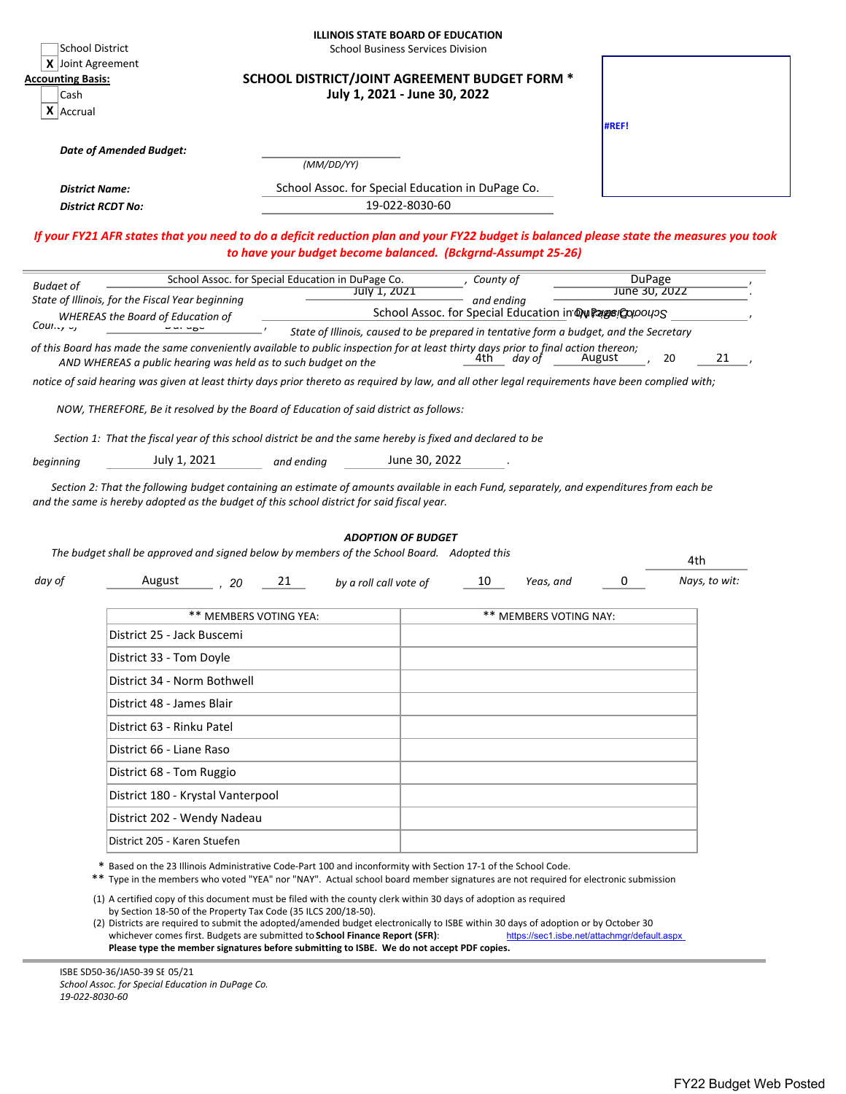|                                                                        | School District                                                |                                                                                                                                                                                                                                             | <b>ILLINOIS STATE BOARD OF EDUCATION</b><br><b>School Business Services Division</b>                                                                                                                                                                                                                                                                                     |                                                                                                                                          |
|------------------------------------------------------------------------|----------------------------------------------------------------|---------------------------------------------------------------------------------------------------------------------------------------------------------------------------------------------------------------------------------------------|--------------------------------------------------------------------------------------------------------------------------------------------------------------------------------------------------------------------------------------------------------------------------------------------------------------------------------------------------------------------------|------------------------------------------------------------------------------------------------------------------------------------------|
| X Joint Agreement<br><b>Accounting Basis:</b><br>Cash<br>$X$   Accrual |                                                                |                                                                                                                                                                                                                                             | SCHOOL DISTRICT/JOINT AGREEMENT BUDGET FORM *<br>July 1, 2021 - June 30, 2022                                                                                                                                                                                                                                                                                            | #REF!                                                                                                                                    |
|                                                                        |                                                                |                                                                                                                                                                                                                                             |                                                                                                                                                                                                                                                                                                                                                                          |                                                                                                                                          |
|                                                                        | <b>Date of Amended Budget:</b>                                 | (MM/DD/YY)                                                                                                                                                                                                                                  |                                                                                                                                                                                                                                                                                                                                                                          |                                                                                                                                          |
|                                                                        | <b>District Name:</b>                                          |                                                                                                                                                                                                                                             | School Assoc. for Special Education in DuPage Co.                                                                                                                                                                                                                                                                                                                        |                                                                                                                                          |
|                                                                        | <b>District RCDT No:</b>                                       |                                                                                                                                                                                                                                             | 19-022-8030-60                                                                                                                                                                                                                                                                                                                                                           |                                                                                                                                          |
|                                                                        |                                                                |                                                                                                                                                                                                                                             | to have your budget become balanced. (Bckgrnd-Assumpt 25-26)                                                                                                                                                                                                                                                                                                             | If your FY21 AFR states that you need to do a deficit reduction plan and your FY22 budget is balanced please state the measures you took |
| <b>Budget of</b>                                                       |                                                                | School Assoc. for Special Education in DuPage Co.                                                                                                                                                                                           | County of                                                                                                                                                                                                                                                                                                                                                                | <b>DuPage</b>                                                                                                                            |
|                                                                        | State of Illinois, for the Fiscal Year beginning               | July 1, 2021                                                                                                                                                                                                                                | and ending                                                                                                                                                                                                                                                                                                                                                               | June 30, 2022                                                                                                                            |
| County <sub>Y</sub>                                                    | <b>WHEREAS the Board of Education of</b>                       |                                                                                                                                                                                                                                             | School Assoc. for Special Education in Dw Page Coloous<br>State of Illinois, caused to be prepared in tentative form a budget, and the Secretary                                                                                                                                                                                                                         |                                                                                                                                          |
|                                                                        | AND WHEREAS a public hearing was held as to such budget on the |                                                                                                                                                                                                                                             | of this Board has made the same conveniently available to public inspection for at least thirty days prior to final action thereon;<br>4th.<br>day of                                                                                                                                                                                                                    | 20<br>21<br>August                                                                                                                       |
|                                                                        |                                                                |                                                                                                                                                                                                                                             | notice of said hearing was given at least thirty days prior thereto as reguired by law, and all other legal requirements have been complied with;                                                                                                                                                                                                                        |                                                                                                                                          |
|                                                                        |                                                                | NOW, THEREFORE, Be it resolved by the Board of Education of said district as follows:                                                                                                                                                       |                                                                                                                                                                                                                                                                                                                                                                          |                                                                                                                                          |
|                                                                        |                                                                |                                                                                                                                                                                                                                             |                                                                                                                                                                                                                                                                                                                                                                          |                                                                                                                                          |
|                                                                        |                                                                | Section 1: That the fiscal year of this school district be and the same hereby is fixed and declared to be                                                                                                                                  |                                                                                                                                                                                                                                                                                                                                                                          |                                                                                                                                          |
| beginning                                                              | July 1, 2021                                                   | and ending                                                                                                                                                                                                                                  | June 30, 2022                                                                                                                                                                                                                                                                                                                                                            |                                                                                                                                          |
|                                                                        |                                                                | and the same is hereby adopted as the budget of this school district for said fiscal year.<br>The budget shall be approved and signed below by members of the School Board. Adopted this                                                    | <b>ADOPTION OF BUDGET</b>                                                                                                                                                                                                                                                                                                                                                | 4th                                                                                                                                      |
| day of                                                                 | August<br>20                                                   | 21<br>by a roll call vote of                                                                                                                                                                                                                | 10<br>Yeas, and                                                                                                                                                                                                                                                                                                                                                          | 0<br>Nays, to wit:                                                                                                                       |
|                                                                        |                                                                | ** MEMBERS VOTING YEA:                                                                                                                                                                                                                      | <b>** MEMBERS VOTING NAY:</b>                                                                                                                                                                                                                                                                                                                                            |                                                                                                                                          |
|                                                                        | District 25 - Jack Buscemi                                     |                                                                                                                                                                                                                                             |                                                                                                                                                                                                                                                                                                                                                                          |                                                                                                                                          |
|                                                                        | District 33 - Tom Doyle                                        |                                                                                                                                                                                                                                             |                                                                                                                                                                                                                                                                                                                                                                          |                                                                                                                                          |
|                                                                        | District 34 - Norm Bothwell                                    |                                                                                                                                                                                                                                             |                                                                                                                                                                                                                                                                                                                                                                          |                                                                                                                                          |
|                                                                        | District 48 - James Blair                                      |                                                                                                                                                                                                                                             |                                                                                                                                                                                                                                                                                                                                                                          |                                                                                                                                          |
|                                                                        | District 63 - Rinku Patel                                      |                                                                                                                                                                                                                                             |                                                                                                                                                                                                                                                                                                                                                                          |                                                                                                                                          |
|                                                                        | District 66 - Liane Raso                                       |                                                                                                                                                                                                                                             |                                                                                                                                                                                                                                                                                                                                                                          |                                                                                                                                          |
|                                                                        | District 68 - Tom Ruggio                                       |                                                                                                                                                                                                                                             |                                                                                                                                                                                                                                                                                                                                                                          |                                                                                                                                          |
|                                                                        | District 180 - Krystal Vanterpool                              |                                                                                                                                                                                                                                             |                                                                                                                                                                                                                                                                                                                                                                          |                                                                                                                                          |
|                                                                        | District 202 - Wendy Nadeau                                    |                                                                                                                                                                                                                                             |                                                                                                                                                                                                                                                                                                                                                                          |                                                                                                                                          |
|                                                                        | District 205 - Karen Stuefen                                   |                                                                                                                                                                                                                                             |                                                                                                                                                                                                                                                                                                                                                                          |                                                                                                                                          |
|                                                                        |                                                                |                                                                                                                                                                                                                                             |                                                                                                                                                                                                                                                                                                                                                                          |                                                                                                                                          |
|                                                                        |                                                                |                                                                                                                                                                                                                                             | * Based on the 23 Illinois Administrative Code-Part 100 and inconformity with Section 17-1 of the School Code.<br>** Type in the members who voted "YEA" nor "NAY". Actual school board member signatures are not required for electronic submission<br>(1) A certified copy of this document must be filed with the county clerk within 30 days of adoption as required |                                                                                                                                          |
|                                                                        |                                                                | by Section 18-50 of the Property Tax Code (35 ILCS 200/18-50).<br>whichever comes first. Budgets are submitted to School Finance Report (SFR):<br>Please type the member signatures before submitting to ISBE. We do not accept PDF copies. | (2) Districts are required to submit the adopted/amended budget electronically to ISBE within 30 days of adoption or by October 30                                                                                                                                                                                                                                       | https://sec1.isbe.net/attachmqr/default.aspx                                                                                             |

ISBE SD50‐36/JA50‐39 SB 05/21 *School Assoc. for Special Education in DuPage Co. 19‐022‐8030‐60*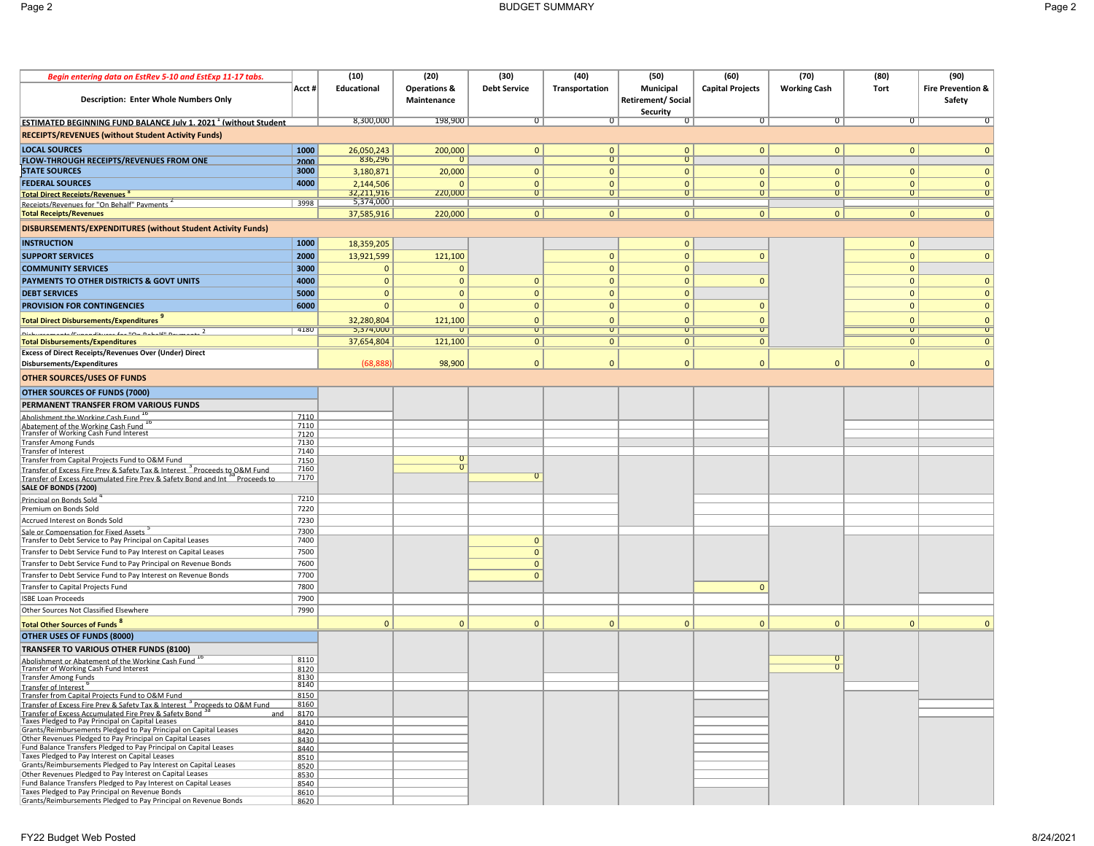| Begin entering data on EstRev 5-10 and EstExp 11-17 tabs.                                                                                               |              | (10)                    | (20)                                   | (30)                | (40)                    | (50)                                  | (60)                    | (70)                | (80)           | (90)                         |
|---------------------------------------------------------------------------------------------------------------------------------------------------------|--------------|-------------------------|----------------------------------------|---------------------|-------------------------|---------------------------------------|-------------------------|---------------------|----------------|------------------------------|
| <b>Description: Enter Whole Numbers Only</b>                                                                                                            | Acct #       | Educational             | <b>Operations &amp;</b><br>Maintenance | <b>Debt Service</b> | Transportation          | Municipal<br><b>Retirement/Social</b> | <b>Capital Projects</b> | <b>Working Cash</b> | Tort           | <b>Fire Prevention &amp;</b> |
|                                                                                                                                                         |              |                         |                                        |                     |                         | Security                              |                         |                     |                | Safety                       |
| <b>ESTIMATED BEGINNING FUND BALANCE July 1. 2021 <sup>1</sup> (without Student</b>                                                                      |              | 8,300,000               | 198,900                                | $\overline{0}$      | $\overline{\mathrm{o}}$ | σ                                     | σ                       | 0                   | $\overline{0}$ | $\overline{0}$               |
| <b>RECEIPTS/REVENUES (without Student Activity Funds)</b>                                                                                               |              |                         |                                        |                     |                         |                                       |                         |                     |                |                              |
| <b>LOCAL SOURCES</b>                                                                                                                                    | 1000         | 26,050,243              | 200,000                                | $\mathbf{0}$        | $\mathbf{0}$            | $\mathbf{0}$                          | $\mathbf{0}$            | $\mathbf{0}$        | $\mathbf{0}$   | $\mathbf{0}$                 |
| FLOW-THROUGH RECEIPTS/REVENUES FROM ONE                                                                                                                 | 2000         | 836,296                 | $\Omega$                               |                     | $\overline{0}$          | $\Omega$                              |                         |                     |                |                              |
| <b>STATE SOURCES</b>                                                                                                                                    | 3000         | 3,180,871               | 20,000                                 | $\mathbf{0}$        | $\mathbf{0}$            | $\mathbf{0}$                          | $\Omega$                | $\Omega$            | $\mathbf{0}$   | $\mathbf{0}$                 |
| <b>FEDERAL SOURCES</b>                                                                                                                                  | 4000         | 2,144,506               | $\Omega$                               | $\mathbf{0}$        | $\mathbf{0}$            | $\mathbf{0}$                          | $\mathbf{0}$            | $\Omega$            | $\mathbf{0}$   | $\mathbf{0}$                 |
| <b>Total Direct Receipts/Revenues<sup>8</sup></b>                                                                                                       |              | 32,211,916              | 220,000                                | $\overline{0}$      | $\overline{0}$          | $\overline{0}$                        | $\overline{0}$          | 0 <sup>1</sup>      | $\overline{0}$ | $\overline{0}$               |
| Receints/Revenues for "On Behalf" Payments                                                                                                              | 3998         | 5,374,000<br>37,585,916 | 220,000                                | 0                   | $\mathbf{0}$            | 0 <sup>1</sup>                        | $\overline{0}$          | $\overline{0}$      | 0              | 0                            |
| <b>Total Receipts/Revenues</b>                                                                                                                          |              |                         |                                        |                     |                         |                                       |                         |                     |                |                              |
| DISBURSEMENTS/EXPENDITURES (without Student Activity Funds)                                                                                             |              |                         |                                        |                     |                         |                                       |                         |                     |                |                              |
| <b>INSTRUCTION</b>                                                                                                                                      | 1000         | 18,359,205              |                                        |                     |                         | $\mathbf{0}$                          |                         |                     | $\mathbf{0}$   |                              |
| <b>SUPPORT SERVICES</b>                                                                                                                                 | 2000         | 13,921,599              | 121,100                                |                     | $\mathbf{0}$            | $\mathbf{0}$                          | $\Omega$                |                     | $\mathbf{0}$   | $\mathbf{0}$                 |
| <b>COMMUNITY SERVICES</b>                                                                                                                               | 3000         | $\mathbf{0}$            | $\mathbf{0}$                           |                     | $\mathbf{0}$            | $\mathbf{0}$                          |                         |                     | $\mathbf{0}$   |                              |
| PAYMENTS TO OTHER DISTRICTS & GOVT UNITS                                                                                                                | 4000         | $\mathbf{0}$            | $\mathbf{0}$                           | $\mathbf{0}$        | $\mathbf{0}$            | $\mathbf{0}$                          | $\Omega$                |                     | $\mathbf{0}$   | $\mathbf{0}$                 |
| <b>DEBT SERVICES</b>                                                                                                                                    | 5000         | $\mathbf{0}$            | $\mathbf{0}$                           | $\mathbf{0}$        | $\mathbf{0}$            | $\mathbf{0}$                          |                         |                     | $\mathbf{0}$   | $\mathbf{0}$                 |
| PROVISION FOR CONTINGENCIES                                                                                                                             | 6000         | $\mathbf{0}$            | $\mathbf{0}$                           | $\mathbf{0}$        | $\mathbf{0}$            | $\mathbf{0}$                          | $\mathbf{0}$            |                     | $\mathbf{0}$   | $\mathbf{0}$                 |
| <b>Total Direct Disbursements/Expenditures</b>                                                                                                          |              | 32,280,804              | 121,100                                | $\Omega$            | $\mathbf{0}$            | $\Omega$                              | $\Omega$                |                     | $\mathbf{0}$   | $\mathbf{0}$                 |
| 1.10<br>لمعاسست<br>1.10                                                                                                                                 | 4180         | 5,374,000               | $\mathbf{U}$                           | $\overline{0}$      | $\overline{0}$          | $\overline{0}$                        | $\overline{0}$          |                     | $\overline{0}$ | $\overline{\mathsf{U}}$      |
| <b>Total Disbursements/Expenditures</b>                                                                                                                 |              | 37,654,804              | 121,100                                | 0                   | $\mathbf{0}$            | $\mathbf{0}$                          | $\mathbf{0}$            |                     | $\mathbf{0}$   | 0                            |
| <b>Excess of Direct Receipts/Revenues Over (Under) Direct</b><br>Disbursements/Expenditures                                                             |              | (68, 888)               | 98,900                                 | $\mathbf{0}$        | $\mathbf{0}$            | $\mathbf{0}$                          | $\mathbf{0}$            | $\overline{0}$      | $\mathbf{0}$   | 0                            |
| <b>OTHER SOURCES/USES OF FUNDS</b>                                                                                                                      |              |                         |                                        |                     |                         |                                       |                         |                     |                |                              |
|                                                                                                                                                         |              |                         |                                        |                     |                         |                                       |                         |                     |                |                              |
| <b>OTHER SOURCES OF FUNDS (7000)</b>                                                                                                                    |              |                         |                                        |                     |                         |                                       |                         |                     |                |                              |
| PERMANENT TRANSFER FROM VARIOUS FUNDS<br>Abolishment the Working Cash Fund 1                                                                            | 7110         |                         |                                        |                     |                         |                                       |                         |                     |                |                              |
| Abatement of the Working Cash Fund                                                                                                                      | 7110         |                         |                                        |                     |                         |                                       |                         |                     |                |                              |
| Transfer of Working Cash Fund Interest                                                                                                                  | 7120         |                         |                                        |                     |                         |                                       |                         |                     |                |                              |
| <b>Transfer Among Funds</b><br>Transfer of Interest                                                                                                     | 7130<br>7140 |                         |                                        |                     |                         |                                       |                         |                     |                |                              |
| Transfer from Capital Projects Fund to O&M Fund                                                                                                         | 7150         |                         | $\overline{0}$                         |                     |                         |                                       |                         |                     |                |                              |
| Transfer of Excess Fire Prev & Safety Tax & Interest <sup>2</sup> Proceeds to O&M Fund                                                                  | 7160         |                         | $\overline{0}$                         |                     |                         |                                       |                         |                     |                |                              |
| Transfer of Excess Accumulated Fire Prev & Safety Bond and Int <sup>of</sup> Proceeds to<br>SALE OF BONDS (7200)                                        | 7170         |                         |                                        |                     |                         |                                       |                         |                     |                |                              |
| Principal on Bonds Sold                                                                                                                                 | 7210         |                         |                                        |                     |                         |                                       |                         |                     |                |                              |
| Premium on Bonds Sold                                                                                                                                   | 7220         |                         |                                        |                     |                         |                                       |                         |                     |                |                              |
| Accrued Interest on Bonds Sold                                                                                                                          | 7230<br>7300 |                         |                                        |                     |                         |                                       |                         |                     |                |                              |
| Sale or Compensation for Fixed Assets<br>Transfer to Debt Service to Pay Principal on Capital Leases                                                    | 7400         |                         |                                        | $\mathbf{0}$        |                         |                                       |                         |                     |                |                              |
| Transfer to Debt Service Fund to Pay Interest on Capital Leases                                                                                         | 7500         |                         |                                        | $\mathbf{0}$        |                         |                                       |                         |                     |                |                              |
| Transfer to Debt Service Fund to Pay Principal on Revenue Bonds                                                                                         | 7600         |                         |                                        | $\mathbf{0}$        |                         |                                       |                         |                     |                |                              |
| Transfer to Debt Service Fund to Pay Interest on Revenue Bonds                                                                                          | 7700         |                         |                                        | $\mathbf{0}$        |                         |                                       |                         |                     |                |                              |
| Transfer to Capital Projects Fund                                                                                                                       | 7800         |                         |                                        |                     |                         |                                       | $\mathbf{0}$            |                     |                |                              |
| <b>ISBE Loan Proceeds</b>                                                                                                                               | 7900         |                         |                                        |                     |                         |                                       |                         |                     |                |                              |
| Other Sources Not Classified Elsewhere                                                                                                                  | 7990         |                         |                                        |                     |                         |                                       |                         |                     |                |                              |
| <b>Total Other Sources of Funds<sup>8</sup></b>                                                                                                         |              | $\Omega$                | $\Omega$                               | $\Omega$            | $\mathbf{0}$            | $\mathbf{0}$                          | $\mathbf{0}$            | $\Omega$            | $\Omega$       | $\mathbf{0}$                 |
| OTHER USES OF FUNDS (8000)                                                                                                                              |              |                         |                                        |                     |                         |                                       |                         |                     |                |                              |
| TRANSFER TO VARIOUS OTHER FUNDS (8100)                                                                                                                  |              |                         |                                        |                     |                         |                                       |                         |                     |                |                              |
| Abolishment or Abatement of the Working Cash Fund                                                                                                       | 8110         |                         |                                        |                     |                         |                                       |                         |                     |                |                              |
| Transfer of Working Cash Fund Interest<br><b>Transfer Among Funds</b>                                                                                   | 8120<br>8130 |                         |                                        |                     |                         |                                       |                         |                     |                |                              |
| Transfer of Interest                                                                                                                                    | 8140         |                         |                                        |                     |                         |                                       |                         |                     |                |                              |
| Transfer from Capital Proiects Fund to O&M Fund                                                                                                         | 8150         |                         |                                        |                     |                         |                                       |                         |                     |                |                              |
| Transfer of Excess Fire Prev & Safety Tax & Interest <sup>3</sup> Proceeds to O&M Fund<br>Transfer of Excess Accumulated Fire Prev & Safety Bond<br>and | 8160<br>8170 |                         |                                        |                     |                         |                                       |                         |                     |                |                              |
| Taxes Pledged to Pay Principal on Capital Leases                                                                                                        | 8410         |                         |                                        |                     |                         |                                       |                         |                     |                |                              |
| Grants/Reimbursements Pledged to Pay Principal on Capital Leases                                                                                        | 8420         |                         |                                        |                     |                         |                                       |                         |                     |                |                              |
| Other Revenues Pledged to Pay Principal on Capital Leases<br>Fund Balance Transfers Pledged to Pay Principal on Capital Leases                          | 8430<br>8440 |                         |                                        |                     |                         |                                       |                         |                     |                |                              |
| Taxes Pledged to Pay Interest on Capital Leases                                                                                                         | 8510         |                         |                                        |                     |                         |                                       |                         |                     |                |                              |
| Grants/Reimbursements Pledged to Pay Interest on Capital Leases                                                                                         | 8520         |                         |                                        |                     |                         |                                       |                         |                     |                |                              |
| Other Revenues Pledged to Pay Interest on Capital Leases<br>Fund Balance Transfers Pledged to Pay Interest on Capital Leases                            | 8530<br>8540 |                         |                                        |                     |                         |                                       |                         |                     |                |                              |
| Taxes Pledged to Pay Principal on Revenue Bonds                                                                                                         | 8610         |                         |                                        |                     |                         |                                       |                         |                     |                |                              |
| Grants/Reimbursements Pledged to Pay Principal on Revenue Bonds                                                                                         | 8620         |                         |                                        |                     |                         |                                       |                         |                     |                |                              |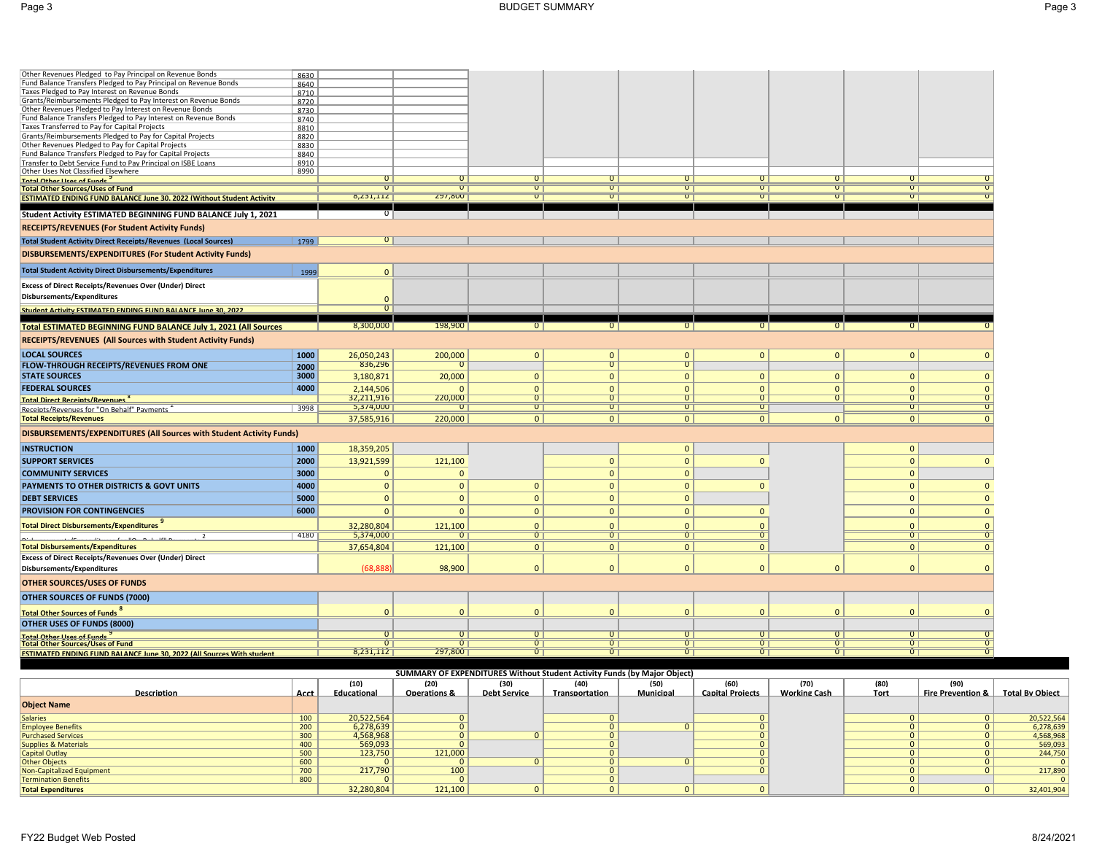| Other Revenues Pledged to Pay Principal on Revenue Bonds                                                   | 8630         |                            |                         |                |                |                |                |                |                  |                     |
|------------------------------------------------------------------------------------------------------------|--------------|----------------------------|-------------------------|----------------|----------------|----------------|----------------|----------------|------------------|---------------------|
| Fund Balance Transfers Pledged to Pay Principal on Revenue Bonds                                           | 8640         |                            |                         |                |                |                |                |                |                  |                     |
| Taxes Pledged to Pay Interest on Revenue Bonds                                                             | 8710         |                            |                         |                |                |                |                |                |                  |                     |
| Grants/Reimbursements Pledged to Pay Interest on Revenue Bonds                                             | 8720         |                            |                         |                |                |                |                |                |                  |                     |
| Other Revenues Pledged to Pay Interest on Revenue Bonds                                                    | 8730         |                            |                         |                |                |                |                |                |                  |                     |
| Fund Balance Transfers Pledged to Pay Interest on Revenue Bonds                                            | 8740         |                            |                         |                |                |                |                |                |                  |                     |
| Taxes Transferred to Pay for Capital Projects<br>Grants/Reimbursements Pledged to Pay for Capital Projects | 8810<br>8820 |                            |                         |                |                |                |                |                |                  |                     |
| Other Revenues Pledged to Pay for Capital Projects                                                         | 8830         |                            |                         |                |                |                |                |                |                  |                     |
| Fund Balance Transfers Pledged to Pay for Capital Projects                                                 | 8840         |                            |                         |                |                |                |                |                |                  |                     |
| Transfer to Debt Service Fund to Pay Principal on ISBE Loans<br>Other Uses Not Classified Elsewhere        | 8910         |                            |                         |                |                |                |                |                |                  |                     |
|                                                                                                            | 8990         |                            |                         | $\overline{0}$ | $\overline{0}$ | $\overline{0}$ | $\overline{0}$ | $\overline{0}$ | $\overline{0}$   |                     |
| Total Other Hees of Funds<br><b>Total Other Sources/Uses of Fund</b>                                       |              | $\overline{0}$             | $\overline{0}$          | $\overline{0}$ | $\overline{0}$ | $\overline{0}$ | $\overline{0}$ | $\overline{0}$ | $\overline{0}$   |                     |
| <b>ESTIMATED ENDING FUND BALANCE June 30. 2022 (Without Student Activity</b>                               |              | 8,231,112                  | 297,800                 | $\overline{0}$ | $\overline{0}$ | $\overline{0}$ | $\overline{0}$ | $\overline{0}$ | $\overline{0}$   | $\overline{0}$      |
|                                                                                                            |              |                            |                         |                |                |                |                |                |                  |                     |
| Student Activity ESTIMATED BEGINNING FUND BALANCE July 1, 2021                                             |              | $\overline{0}$             |                         |                |                |                |                |                |                  |                     |
| RECEIPTS/REVENUES (For Student Activity Funds)                                                             |              |                            |                         |                |                |                |                |                |                  |                     |
| <b>Total Student Activity Direct Receipts/Revenues (Local Sources)</b>                                     | 1799         | $\overline{\circ}$         |                         |                |                |                |                |                |                  |                     |
| DISBURSEMENTS/EXPENDITURES (For Student Activity Funds)                                                    |              |                            |                         |                |                |                |                |                |                  |                     |
| <b>Total Student Activity Direct Disbursements/Expenditures</b>                                            | 1999         | 0                          |                         |                |                |                |                |                |                  |                     |
| Excess of Direct Receipts/Revenues Over (Under) Direct                                                     |              |                            |                         |                |                |                |                |                |                  |                     |
| Disbursements/Expenditures                                                                                 |              |                            |                         |                |                |                |                |                |                  |                     |
|                                                                                                            |              | $\Omega$<br>$\overline{0}$ |                         |                |                |                |                |                |                  |                     |
| Student Activity ESTIMATED ENDING FUND BALANCE June 30, 2022                                               |              |                            |                         |                |                |                |                |                |                  |                     |
| Total ESTIMATED BEGINNING FUND BALANCE July 1, 2021 (All Sources                                           |              | 8,300,000                  | 198,900                 | $\overline{0}$ | $\overline{0}$ | $\overline{0}$ | $\Omega$       | $\overline{0}$ | $\overline{0}$   |                     |
| RECEIPTS/REVENUES (All Sources with Student Activity Funds)                                                |              |                            |                         |                |                |                |                |                |                  |                     |
|                                                                                                            |              |                            |                         |                |                |                |                |                |                  |                     |
| <b>LOCAL SOURCES</b>                                                                                       | 1000         | 26,050,243                 | 200,000                 | $\mathbf{0}$   | $\mathbf{0}$   | $\mathbf{0}$   | $\mathbf{0}$   | $\mathbf{0}$   | $\mathbf{0}$     | $\mathbf{0}$        |
| FLOW-THROUGH RECEIPTS/REVENUES FROM ONE                                                                    | 2000         | 836,296                    | $\Omega$                |                | $\overline{0}$ | $\overline{0}$ |                |                |                  |                     |
| <b>STATE SOURCES</b>                                                                                       | 3000         | 3,180,871                  | 20,000                  | $\overline{0}$ | $\mathbf{0}$   | $\mathbf{0}$   | $\mathbf{0}$   | $\mathbf{0}$   | $\mathbf{0}$     | $\mathbf{0}$        |
| <b>FEDERAL SOURCES</b>                                                                                     | 4000         | 2,144,506                  | $\Omega$                | $\overline{0}$ | $\mathbf{0}$   | $\Omega$       | $\Omega$       | $\mathbf{0}$   | $\mathbf{0}$     | $\mathbf{0}$        |
| <b>Total Direct Receipts/Revenues<sup>8</sup></b>                                                          |              | 32,211,916                 | 220,000                 | $\overline{0}$ | $\overline{0}$ | $\overline{0}$ | $\overline{0}$ | $\overline{0}$ | $\overline{0}$   | $\overline{0}$      |
| Receints/Revenues for "On Behalf" Payments                                                                 | 3998         | 5,374,000                  | $\overline{0}$          | $\overline{0}$ | $\overline{0}$ | $\overline{0}$ | $\overline{0}$ |                | $\overline{0}$   | $\overline{0}$      |
| <b>Total Receipts/Revenues</b>                                                                             |              | 37,585,916                 | 220,000                 | 0              | 0              | 0              | 0 <sup>1</sup> | $\mathbf{0}$   | 0                | $\mathbf{0}$        |
| DISBURSEMENTS/EXPENDITURES (All Sources with Student Activity Funds)                                       |              |                            |                         |                |                |                |                |                |                  |                     |
| <b>INSTRUCTION</b>                                                                                         | 1000         | 18,359,205                 |                         |                |                | $\mathbf{0}$   |                |                | $\mathbf{0}$     |                     |
| <b>SUPPORT SERVICES</b>                                                                                    | 2000         | 13,921,599                 | 121,100                 |                | $\mathbf{0}$   | $\mathbf{0}$   | $\overline{0}$ |                | $\mathbf{0}$     | $\mathbf{0}$        |
| <b>COMMUNITY SERVICES</b>                                                                                  | 3000         | $\mathbf{0}$               | $\mathbf{0}$            |                | $\mathbf{0}$   | $\mathbf{0}$   |                |                | $\mathbf 0$      |                     |
|                                                                                                            |              |                            |                         |                |                |                |                |                |                  |                     |
| PAYMENTS TO OTHER DISTRICTS & GOVT UNITS                                                                   | 4000         | $\mathbf{0}$               | $\mathbf{0}$            | $\mathbf{0}$   | $\mathbf{0}$   | $\mathbf{0}$   | $\mathbf{0}$   |                | $\mathbf{0}$     | $\mathbf{0}$        |
|                                                                                                            |              |                            |                         |                |                |                |                |                | $\mathbf{0}$     | $\mathbf{0}$        |
| <b>DEBT SERVICES</b>                                                                                       | 5000         | $\mathbf{0}$               | $\mathbf{0}$            | $\mathbf{0}$   | $\mathbf{0}$   | $\mathbf{0}$   |                |                |                  |                     |
| PROVISION FOR CONTINGENCIES                                                                                | 6000         | $\mathbf{0}$               | $\mathbf{0}$            | $\mathbf{0}$   | $\mathbf{0}$   | $\mathbf{0}$   | $\mathbf{0}$   |                | $\mathbf{0}$     | $\mathbf{0}$        |
| <b>Total Direct Disbursements/Expenditures</b>                                                             |              | 32,280,804                 | 121,100                 | $\overline{0}$ | $\Omega$       | $\mathbf{0}$   | $\Omega$       |                | $\mathbf{0}$     | $\Omega$            |
| $\overline{2}$                                                                                             | 4180         | 5,374,000                  | $\overline{\mathsf{U}}$ | $\overline{0}$ | $\overline{0}$ | $\overline{0}$ | $\overline{0}$ |                | $\overline{0}$   | $\overline{0}$      |
| <b>Total Disbursements/Expenditures</b>                                                                    |              | 37,654,804                 | 121,100                 | 0              | 0              | $\overline{0}$ | $\mathbf{0}$   |                | 0                | $\mathbf{0}$        |
| Excess of Direct Receipts/Revenues Over (Under) Direct                                                     |              |                            |                         |                |                |                |                |                |                  |                     |
| Disbursements/Expenditures                                                                                 |              | (68, 888)                  | 98,900                  | $\overline{0}$ | $\mathbf{0}$   | $\Omega$       | $\Omega$       | $\mathbf{0}$   | $\Omega$         | $\mathbf 0$         |
| <b>OTHER SOURCES/USES OF FUNDS</b>                                                                         |              |                            |                         |                |                |                |                |                |                  |                     |
| OTHER SOURCES OF FUNDS (7000)                                                                              |              |                            |                         |                |                |                |                |                |                  |                     |
| Total Other Sources of Funds                                                                               |              | $\mathbf{0}$               | $\mathbf{0}$            | $\Omega$       | $\mathbf{0}$   | $\Omega$       | $\Omega$       | $\mathbf{0}$   | $\overline{0}$   | $\mathbf{0}$        |
| OTHER USES OF FUNDS (8000)                                                                                 |              |                            |                         |                |                |                |                |                |                  |                     |
| <b>Total Other Lices of Funds</b>                                                                          |              |                            |                         |                | $\overline{0}$ |                |                | $\overline{0}$ | $\overline{0}$   |                     |
| <b>Total Other Sources/Uses of Fund</b>                                                                    |              | û                          | ũ                       | $\overline{0}$ | $\overline{0}$ | $\overline{0}$ | $\overline{0}$ | $\overline{0}$ | $\overline{0}$ T | $\sigma$            |
| <b>FSTIMATED ENDING FLIND BALANCE June 30, 2022 (All Sources With student</b>                              |              | 8,231,112                  | 297,800                 | ũ              | Û              | $\overline{0}$ | $\overline{0}$ | $\overline{0}$ | $\overline{0}$   | $\overline{\sigma}$ |

| <b>SUMMARY OF EXPENDITURES Without Student Activity Funds (by Major Object)</b> |      |             |                         |              |                |           |                         |                     |      |                                |                 |
|---------------------------------------------------------------------------------|------|-------------|-------------------------|--------------|----------------|-----------|-------------------------|---------------------|------|--------------------------------|-----------------|
|                                                                                 |      | (10)        | (20)                    | (30)         | (40)           | (50)      | (60)                    | (70)                | (80) | (90)                           |                 |
| <b>Description</b>                                                              | Acct | Educational | <b>Operations &amp;</b> | Debt Service | Transportation | Municipal | <b>Capital Projects</b> | <b>Working Cash</b> | Tort | <b>Fire Prevention &amp;  </b> | Total By Obiect |
| <b>Object Name</b>                                                              |      |             |                         |              |                |           |                         |                     |      |                                |                 |
| <b>Salaries</b>                                                                 | 100  | 20,522,564  |                         |              |                |           |                         |                     |      |                                | 20,522,564      |
| <b>Employee Benefits</b>                                                        | 200  | 6,278,639   |                         |              |                |           |                         |                     |      |                                | 6,278,639       |
| <b>Purchased Services</b>                                                       | 300  | 4,568,968   |                         |              |                |           |                         |                     |      |                                | 4,568,968       |
| <b>Supplies &amp; Materials</b>                                                 | 400  | 569,093     |                         |              |                |           |                         |                     |      |                                | 569,093         |
| <b>Capital Outlay</b>                                                           | 500  | 123,750     | 121,000                 |              |                |           |                         |                     |      |                                | 244,750         |
| Other Objects                                                                   | 600  |             |                         |              | $\overline{0}$ |           |                         |                     |      |                                |                 |
| Non-Capitalized Equipment                                                       | 700  | 217,790     | 100                     |              |                |           |                         |                     |      |                                | 217,890         |
| <b>Termination Benefits</b>                                                     | 800  |             |                         |              |                |           |                         |                     |      |                                |                 |
| <b>Total Expenditures</b>                                                       |      | 32,280,804  | 121,100                 |              |                |           |                         |                     |      |                                | 32,401,904      |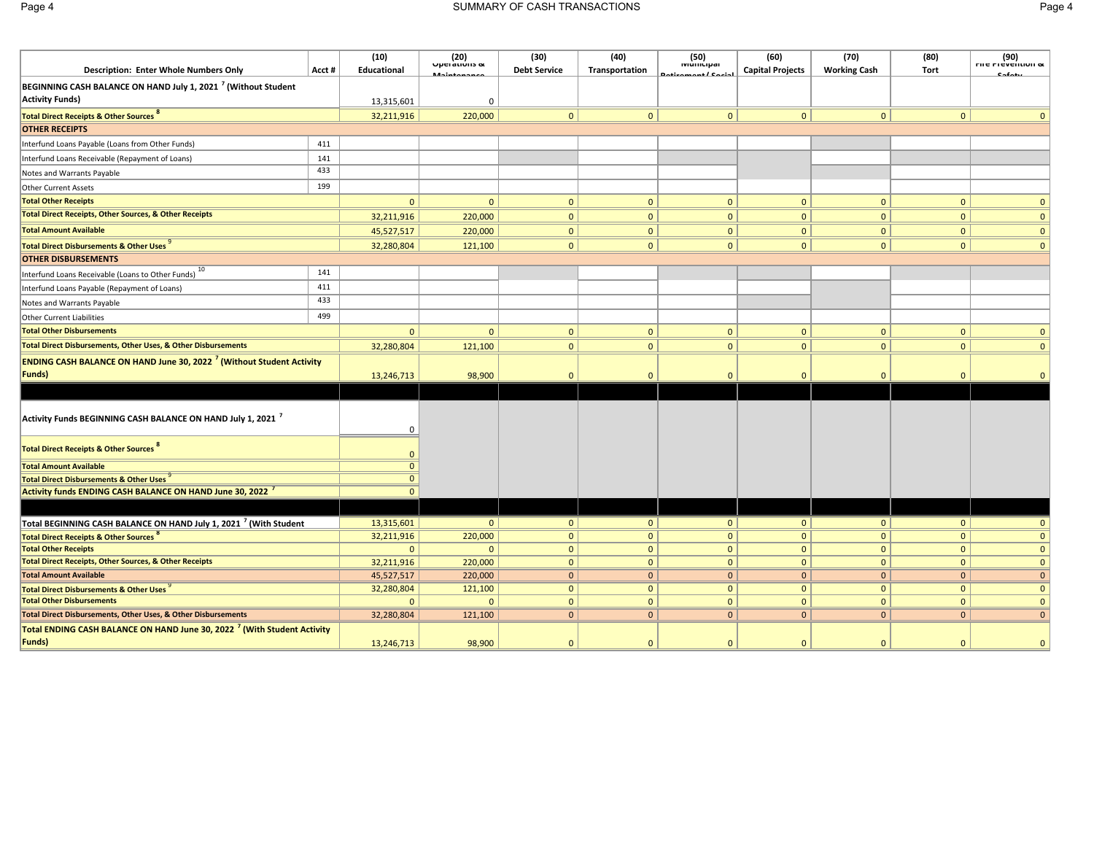| <b>Description: Enter Whole Numbers Only</b>                                                        | Acct# | (10)<br>Educational        | $(20)$ Uperations of | (30)<br><b>Debt Service</b>  | (40)<br>Transportation       | (50)<br>ואוטוווטואו      | (60)<br><b>Capital Projects</b> | (70)<br><b>Working Cash</b>  | (80)<br><b>Tort</b>          | $(90)$ riie Fievention &     |
|-----------------------------------------------------------------------------------------------------|-------|----------------------------|----------------------|------------------------------|------------------------------|--------------------------|---------------------------------|------------------------------|------------------------------|------------------------------|
| BEGINNING CASH BALANCE ON HAND July 1, 2021 <sup>7</sup> (Without Student<br><b>Activity Funds)</b> |       | 13,315,601                 | $\Omega$             |                              |                              |                          |                                 |                              |                              |                              |
| <b>Total Direct Receipts &amp; Other Sources 8</b>                                                  |       | 32,211,916                 | 220,000              | $\mathbf{0}$                 | $\mathbf{0}$                 | $\mathbf{0}$             | $\mathbf{0}$                    | $\mathbf{0}$                 | $\mathbf{0}$                 | $\Omega$                     |
| <b>OTHER RECEIPTS</b>                                                                               |       |                            |                      |                              |                              |                          |                                 |                              |                              |                              |
| Interfund Loans Payable (Loans from Other Funds)                                                    | 411   |                            |                      |                              |                              |                          |                                 |                              |                              |                              |
| Interfund Loans Receivable (Repayment of Loans)                                                     | 141   |                            |                      |                              |                              |                          |                                 |                              |                              |                              |
| Notes and Warrants Payable                                                                          | 433   |                            |                      |                              |                              |                          |                                 |                              |                              |                              |
| <b>Other Current Assets</b>                                                                         | 199   |                            |                      |                              |                              |                          |                                 |                              |                              |                              |
| <b>Total Other Receipts</b>                                                                         |       | $\mathbf{0}$               | $\mathbf{0}$         | $\Omega$                     | $\mathbf{0}$                 | $\mathbf{0}$             | $\mathbf{0}$                    | $\mathbf{0}$                 | $\mathbf 0$                  | $\mathbf{0}$                 |
| <b>Total Direct Receipts, Other Sources, &amp; Other Receipts</b>                                   |       | 32,211,916                 | 220,000              | $\mathbf{0}$                 | $\mathbf{0}$                 | $\mathbf{0}$             | $\mathbf{0}$                    | $\mathbf{0}$                 | $\mathbf{0}$                 | $\mathbf{0}$                 |
| <b>Total Amount Available</b>                                                                       |       | 45,527,517                 | 220,000              | $\mathbf{0}$                 | $\mathbf{0}$                 | $\mathbf{0}$             | $\mathbf{0}$                    | $\overline{0}$               | $\mathbf{0}$                 | $\mathbf{0}$                 |
| Total Direct Disbursements & Other Uses                                                             |       | 32,280,804                 | 121,100              | $\overline{0}$               | $\mathbf{0}$                 | $\mathbf{0}$             | $\mathbf{0}$                    | $\mathbf{0}$                 | $\mathbf{0}$                 | $\mathbf{0}$                 |
| <b>OTHER DISBURSEMENTS</b>                                                                          |       |                            |                      |                              |                              |                          |                                 |                              |                              |                              |
| Interfund Loans Receivable (Loans to Other Funds) 10                                                | 141   |                            |                      |                              |                              |                          |                                 |                              |                              |                              |
| Interfund Loans Payable (Repayment of Loans)                                                        | 411   |                            |                      |                              |                              |                          |                                 |                              |                              |                              |
| Notes and Warrants Payable                                                                          | 433   |                            |                      |                              |                              |                          |                                 |                              |                              |                              |
| Other Current Liabilities                                                                           | 499   |                            |                      |                              |                              |                          |                                 |                              |                              |                              |
| <b>Total Other Disbursements</b>                                                                    |       | $\mathbf{0}$               | $\Omega$             | $\Omega$                     | $\mathbf{0}$                 | $\mathbf{0}$             | $\Omega$                        | $\mathbf{0}$                 | $\mathbf{0}$                 | $\Omega$                     |
| Total Direct Disbursements, Other Uses, & Other Disbursements                                       |       | 32,280,804                 | 121,100              | $\mathbf{0}$                 | $\mathbf{0}$                 | $\mathbf{0}$             | $\mathbf{0}$                    | $\mathbf{0}$                 | $\mathbf{0}$                 | $\mathbf{0}$                 |
| <b>ENDING CASH BALANCE ON HAND June 30, 2022<sup>7</sup> (Without Student Activity</b>              |       |                            |                      |                              |                              |                          |                                 |                              |                              |                              |
| Funds)                                                                                              |       | 13,246,713                 | 98,900               | $\Omega$                     | $\Omega$                     | $\Omega$                 | $\Omega$                        | $\Omega$                     | $\Omega$                     |                              |
|                                                                                                     |       |                            |                      |                              |                              |                          |                                 |                              |                              |                              |
| Activity Funds BEGINNING CASH BALANCE ON HAND July 1, 2021 <sup>7</sup>                             |       | 0                          |                      |                              |                              |                          |                                 |                              |                              |                              |
| Total Direct Receipts & Other Sources of                                                            |       | $\mathbf{0}$               |                      |                              |                              |                          |                                 |                              |                              |                              |
| <b>Total Amount Available</b>                                                                       |       | $\mathbf{0}$               |                      |                              |                              |                          |                                 |                              |                              |                              |
| <b>Total Direct Disbursements &amp; Other Uses</b>                                                  |       | $\mathbf{0}$               |                      |                              |                              |                          |                                 |                              |                              |                              |
| <b>Activity funds ENDING CASH BALANCE ON HAND June 30, 2022</b>                                     |       | $\mathbf{0}$               |                      |                              |                              |                          |                                 |                              |                              |                              |
|                                                                                                     |       |                            |                      |                              |                              |                          |                                 |                              |                              |                              |
| Total BEGINNING CASH BALANCE ON HAND July 1, 2021 <sup>7</sup> (With Student                        |       | 13,315,601                 | 0                    | 0                            | $\mathbf{0}$                 | 0                        | $\mathbf{0}$                    | 0                            | 0                            | $\mathbf{0}$                 |
| <b>Total Direct Receipts &amp; Other Sources</b>                                                    |       | 32,211,916                 | 220,000              | $\mathbf{0}$                 | $\mathbf 0$                  | $\mathbf{0}$             | $\mathbf{0}$                    | $\mathbf{0}$                 | $\mathbf{0}$                 | $\mathbf{0}$                 |
| <b>Total Other Receipts</b>                                                                         |       | $\mathbf{0}$               | $\Omega$             | $\mathbf{0}$                 | $\mathbf{0}$                 | $\mathbf{0}$             | $\mathbf{0}$                    | $\mathbf{0}$                 | $\mathbf{0}$                 | $\mathbf{0}$                 |
| <b>Total Direct Receipts, Other Sources, &amp; Other Receipts</b>                                   |       | 32,211,916                 | 220,000              | $\mathbf{0}$                 | $\mathbf{0}$                 | $\mathbf{0}$             | $\mathbf{0}$                    | $\mathbf{0}$                 | $\mathbf{0}$                 | $\mathbf 0$                  |
| <b>Total Amount Available</b>                                                                       |       | 45,527,517                 | 220,000              | $\mathbf{0}$                 | $\mathbf{0}$                 | $\mathbf{0}$             | $\mathbf{0}$                    | $\overline{0}$               | $\overline{0}$               | $\mathbf{0}$                 |
| Total Direct Disbursements & Other Uses<br><b>Total Other Disbursements</b>                         |       | 32,280,804<br>$\mathbf{0}$ | 121,100<br>$\Omega$  | $\mathbf{0}$<br>$\mathbf{0}$ | $\mathbf{0}$<br>$\mathbf{0}$ | $\mathbf{0}$<br>$\Omega$ | $\mathbf{0}$<br>$\mathbf{0}$    | $\mathbf{0}$<br>$\mathbf{0}$ | $\mathbf{0}$<br>$\mathbf{0}$ | $\mathbf{0}$<br>$\mathbf{0}$ |
| Total Direct Disbursements, Other Uses, & Other Disbursements                                       |       | 32,280,804                 | 121,100              | 0 <sup>1</sup>               | $\mathbf{0}$                 | $\mathbf{0}$             | $\mathbf{0}$                    | $\mathbf{0}$                 | $\mathbf{0}$                 | $\mathbf{0}$                 |
| Total ENDING CASH BALANCE ON HAND June 30, 2022 <sup>7</sup> (With Student Activity                 |       |                            |                      |                              |                              |                          |                                 |                              |                              |                              |
| Funds)                                                                                              |       | 13,246,713                 | 98,900               | $\Omega$                     | $\Omega$                     | $\Omega$                 | $\Omega$                        | $\Omega$                     | $\Omega$                     | $\mathbf{0}$                 |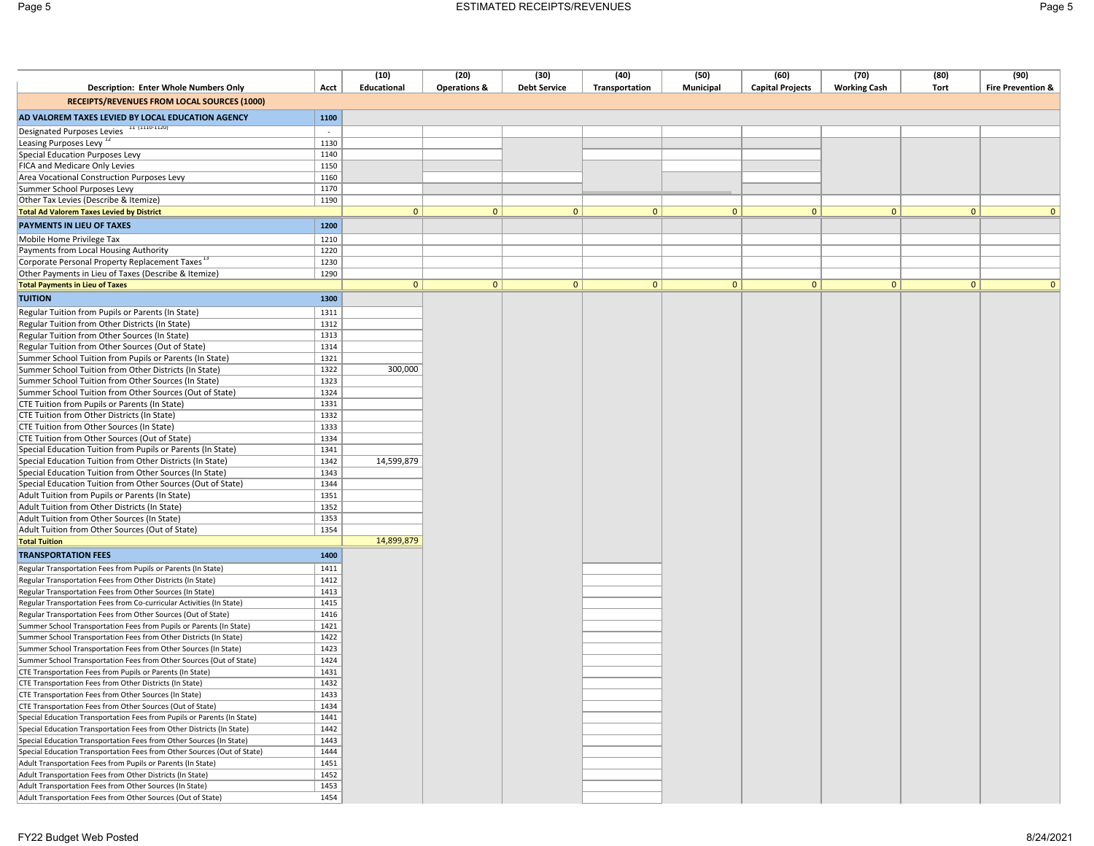|--|--|

|                                                                                                                                          |              | (10)        | (20)                    | (30)                | (40)           | (50)      | (60)                    | (70)                | (80)           | (90)                         |
|------------------------------------------------------------------------------------------------------------------------------------------|--------------|-------------|-------------------------|---------------------|----------------|-----------|-------------------------|---------------------|----------------|------------------------------|
| <b>Description: Enter Whole Numbers Only</b>                                                                                             | Acct         | Educational | <b>Operations &amp;</b> | <b>Debt Service</b> | Transportation | Municipal | <b>Capital Projects</b> | <b>Working Cash</b> | Tort           | <b>Fire Prevention &amp;</b> |
| RECEIPTS/REVENUES FROM LOCAL SOURCES (1000)                                                                                              |              |             |                         |                     |                |           |                         |                     |                |                              |
| AD VALOREM TAXES LEVIED BY LOCAL EDUCATION AGENCY                                                                                        | 1100         |             |                         |                     |                |           |                         |                     |                |                              |
| Designated Purposes Levies 11 (1110-1120)                                                                                                | $\sim$       |             |                         |                     |                |           |                         |                     |                |                              |
| Leasing Purposes Levy <sup>12</sup>                                                                                                      | 1130         |             |                         |                     |                |           |                         |                     |                |                              |
| Special Education Purposes Levy                                                                                                          | 1140         |             |                         |                     |                |           |                         |                     |                |                              |
| FICA and Medicare Only Levies                                                                                                            | 1150         |             |                         |                     |                |           |                         |                     |                |                              |
| Area Vocational Construction Purposes Levy                                                                                               | 1160         |             |                         |                     |                |           |                         |                     |                |                              |
| Summer School Purposes Levy                                                                                                              | 1170         |             |                         |                     |                |           |                         |                     |                |                              |
| Other Tax Levies (Describe & Itemize)                                                                                                    | 1190         |             |                         |                     |                |           |                         |                     |                |                              |
| <b>Total Ad Valorem Taxes Levied by District</b>                                                                                         |              | 0           | $\mathbf{0}$            | 0                   | 0              | 0         | $\mathbf{0}$            | $\mathbf{0}$        | $\overline{0}$ | $\mathbf{0}$                 |
| PAYMENTS IN LIEU OF TAXES                                                                                                                | 1200         |             |                         |                     |                |           |                         |                     |                |                              |
| Mobile Home Privilege Tax                                                                                                                | 1210         |             |                         |                     |                |           |                         |                     |                |                              |
| Payments from Local Housing Authority                                                                                                    | 1220         |             |                         |                     |                |           |                         |                     |                |                              |
| Corporate Personal Property Replacement Taxes <sup>13</sup>                                                                              | 1230         |             |                         |                     |                |           |                         |                     |                |                              |
| Other Payments in Lieu of Taxes (Describe & Itemize)                                                                                     | 1290         |             |                         |                     |                |           |                         |                     |                |                              |
| <b>Total Payments in Lieu of Taxes</b>                                                                                                   |              | 0           | 0                       | $\mathbf{0}$        | $\overline{0}$ | 0         | $\mathbf{0}$            | $\mathbf{0}$        | $\overline{0}$ | $\mathbf{0}$                 |
| <b>TUITION</b>                                                                                                                           | 1300         |             |                         |                     |                |           |                         |                     |                |                              |
| Regular Tuition from Pupils or Parents (In State)                                                                                        | 1311         |             |                         |                     |                |           |                         |                     |                |                              |
| Regular Tuition from Other Districts (In State)                                                                                          | 1312         |             |                         |                     |                |           |                         |                     |                |                              |
| Regular Tuition from Other Sources (In State)                                                                                            | 1313         |             |                         |                     |                |           |                         |                     |                |                              |
| Regular Tuition from Other Sources (Out of State)                                                                                        | 1314         |             |                         |                     |                |           |                         |                     |                |                              |
| Summer School Tuition from Pupils or Parents (In State)                                                                                  | 1321         |             |                         |                     |                |           |                         |                     |                |                              |
| Summer School Tuition from Other Districts (In State)                                                                                    | 1322         | 300,000     |                         |                     |                |           |                         |                     |                |                              |
| Summer School Tuition from Other Sources (In State)                                                                                      | 1323         |             |                         |                     |                |           |                         |                     |                |                              |
| Summer School Tuition from Other Sources (Out of State)                                                                                  | 1324         |             |                         |                     |                |           |                         |                     |                |                              |
| CTE Tuition from Pupils or Parents (In State)                                                                                            | 1331         |             |                         |                     |                |           |                         |                     |                |                              |
| CTE Tuition from Other Districts (In State)                                                                                              | 1332         |             |                         |                     |                |           |                         |                     |                |                              |
| CTE Tuition from Other Sources (In State)                                                                                                | 1333         |             |                         |                     |                |           |                         |                     |                |                              |
| CTE Tuition from Other Sources (Out of State)                                                                                            | 1334         |             |                         |                     |                |           |                         |                     |                |                              |
| Special Education Tuition from Pupils or Parents (In State)                                                                              | 1341         |             |                         |                     |                |           |                         |                     |                |                              |
| Special Education Tuition from Other Districts (In State)                                                                                | 1342         | 14,599,879  |                         |                     |                |           |                         |                     |                |                              |
| Special Education Tuition from Other Sources (In State)                                                                                  | 1343         |             |                         |                     |                |           |                         |                     |                |                              |
| Special Education Tuition from Other Sources (Out of State)                                                                              | 1344         |             |                         |                     |                |           |                         |                     |                |                              |
| Adult Tuition from Pupils or Parents (In State)                                                                                          | 1351         |             |                         |                     |                |           |                         |                     |                |                              |
| Adult Tuition from Other Districts (In State)                                                                                            | 1352         |             |                         |                     |                |           |                         |                     |                |                              |
| Adult Tuition from Other Sources (In State)                                                                                              | 1353         |             |                         |                     |                |           |                         |                     |                |                              |
| Adult Tuition from Other Sources (Out of State)<br><b>Total Tuition</b>                                                                  | 1354         | 14,899,879  |                         |                     |                |           |                         |                     |                |                              |
|                                                                                                                                          |              |             |                         |                     |                |           |                         |                     |                |                              |
| <b>TRANSPORTATION FEES</b>                                                                                                               | 1400         |             |                         |                     |                |           |                         |                     |                |                              |
| Regular Transportation Fees from Pupils or Parents (In State)                                                                            | 1411         |             |                         |                     |                |           |                         |                     |                |                              |
| Regular Transportation Fees from Other Districts (In State)                                                                              | 1412         |             |                         |                     |                |           |                         |                     |                |                              |
| Regular Transportation Fees from Other Sources (In State)                                                                                | 1413         |             |                         |                     |                |           |                         |                     |                |                              |
| Regular Transportation Fees from Co-curricular Activities (In State)                                                                     | 1415         |             |                         |                     |                |           |                         |                     |                |                              |
| Regular Transportation Fees from Other Sources (Out of State)                                                                            | 1416<br>1421 |             |                         |                     |                |           |                         |                     |                |                              |
| Summer School Transportation Fees from Pupils or Parents (In State)<br>Summer School Transportation Fees from Other Districts (In State) | 1422         |             |                         |                     |                |           |                         |                     |                |                              |
| Summer School Transportation Fees from Other Sources (In State)                                                                          | 1423         |             |                         |                     |                |           |                         |                     |                |                              |
| Summer School Transportation Fees from Other Sources (Out of State)                                                                      | 1424         |             |                         |                     |                |           |                         |                     |                |                              |
| CTE Transportation Fees from Pupils or Parents (In State)                                                                                | 1431         |             |                         |                     |                |           |                         |                     |                |                              |
| CTE Transportation Fees from Other Districts (In State)                                                                                  | 1432         |             |                         |                     |                |           |                         |                     |                |                              |
| CTE Transportation Fees from Other Sources (In State)                                                                                    | 1433         |             |                         |                     |                |           |                         |                     |                |                              |
| CTE Transportation Fees from Other Sources (Out of State)                                                                                | 1434         |             |                         |                     |                |           |                         |                     |                |                              |
| Special Education Transportation Fees from Pupils or Parents (In State)                                                                  | 1441         |             |                         |                     |                |           |                         |                     |                |                              |
| Special Education Transportation Fees from Other Districts (In State)                                                                    | 1442         |             |                         |                     |                |           |                         |                     |                |                              |
| Special Education Transportation Fees from Other Sources (In State)                                                                      | 1443         |             |                         |                     |                |           |                         |                     |                |                              |
| Special Education Transportation Fees from Other Sources (Out of State)                                                                  | 1444         |             |                         |                     |                |           |                         |                     |                |                              |
| Adult Transportation Fees from Pupils or Parents (In State)                                                                              | 1451         |             |                         |                     |                |           |                         |                     |                |                              |
| Adult Transportation Fees from Other Districts (In State)                                                                                | 1452         |             |                         |                     |                |           |                         |                     |                |                              |
| Adult Transportation Fees from Other Sources (In State)                                                                                  | 1453         |             |                         |                     |                |           |                         |                     |                |                              |
| Adult Transportation Fees from Other Sources (Out of State)                                                                              | 1454         |             |                         |                     |                |           |                         |                     |                |                              |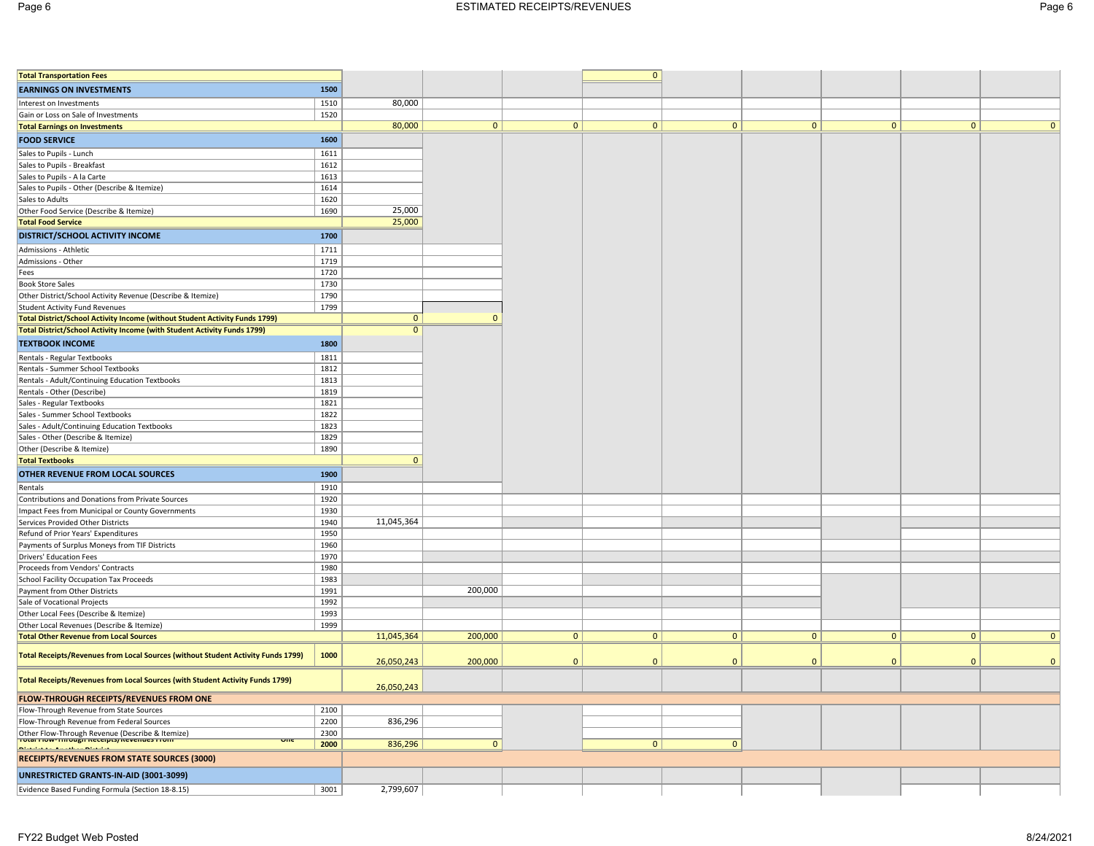| <b>Total Transportation Fees</b>                                                              |              |                |              |              | $\mathbf{0}$ |              |              |              |              |              |
|-----------------------------------------------------------------------------------------------|--------------|----------------|--------------|--------------|--------------|--------------|--------------|--------------|--------------|--------------|
| <b>EARNINGS ON INVESTMENTS</b>                                                                | 1500         |                |              |              |              |              |              |              |              |              |
|                                                                                               | 1510         | 80,000         |              |              |              |              |              |              |              |              |
| Interest on Investments<br>Gain or Loss on Sale of Investments                                | 1520         |                |              |              |              |              |              |              |              |              |
| <b>Total Earnings on Investments</b>                                                          |              | 80,000         | 0            | 0            | $\mathbf{0}$ | 0            | 0            | $\mathbf{0}$ | 0            | $\mathbf{0}$ |
| <b>FOOD SERVICE</b>                                                                           | 1600         |                |              |              |              |              |              |              |              |              |
|                                                                                               |              |                |              |              |              |              |              |              |              |              |
| Sales to Pupils - Lunch                                                                       | 1611         |                |              |              |              |              |              |              |              |              |
| Sales to Pupils - Breakfast                                                                   | 1612         |                |              |              |              |              |              |              |              |              |
| Sales to Pupils - A la Carte<br>Sales to Pupils - Other (Describe & Itemize)                  | 1613<br>1614 |                |              |              |              |              |              |              |              |              |
| Sales to Adults                                                                               | 1620         |                |              |              |              |              |              |              |              |              |
| Other Food Service (Describe & Itemize)                                                       | 1690         | 25,000         |              |              |              |              |              |              |              |              |
| <b>Total Food Service</b>                                                                     |              | 25,000         |              |              |              |              |              |              |              |              |
| <b>DISTRICT/SCHOOL ACTIVITY INCOME</b>                                                        | 1700         |                |              |              |              |              |              |              |              |              |
|                                                                                               |              |                |              |              |              |              |              |              |              |              |
| Admissions - Athletic<br>Admissions - Other                                                   | 1711<br>1719 |                |              |              |              |              |              |              |              |              |
| Fees                                                                                          | 1720         |                |              |              |              |              |              |              |              |              |
| <b>Book Store Sales</b>                                                                       | 1730         |                |              |              |              |              |              |              |              |              |
| Other District/School Activity Revenue (Describe & Itemize)                                   | 1790         |                |              |              |              |              |              |              |              |              |
| <b>Student Activity Fund Revenues</b>                                                         | 1799         |                |              |              |              |              |              |              |              |              |
| Total District/School Activity Income (without Student Activity Funds 1799)                   |              | $\mathbf{0}$   | $\Omega$     |              |              |              |              |              |              |              |
| Total District/School Activity Income (with Student Activity Funds 1799)                      |              | $\overline{0}$ |              |              |              |              |              |              |              |              |
| <b>TEXTBOOK INCOME</b>                                                                        | 1800         |                |              |              |              |              |              |              |              |              |
| Rentals - Regular Textbooks                                                                   | 1811         |                |              |              |              |              |              |              |              |              |
| Rentals - Summer School Textbooks                                                             | 1812         |                |              |              |              |              |              |              |              |              |
| Rentals - Adult/Continuing Education Textbooks                                                | 1813         |                |              |              |              |              |              |              |              |              |
| Rentals - Other (Describe)                                                                    | 1819         |                |              |              |              |              |              |              |              |              |
| Sales - Regular Textbooks                                                                     | 1821         |                |              |              |              |              |              |              |              |              |
| Sales - Summer School Textbooks                                                               | 1822         |                |              |              |              |              |              |              |              |              |
| Sales - Adult/Continuing Education Textbooks                                                  | 1823         |                |              |              |              |              |              |              |              |              |
| Sales - Other (Describe & Itemize)                                                            | 1829         |                |              |              |              |              |              |              |              |              |
| Other (Describe & Itemize)                                                                    | 1890         |                |              |              |              |              |              |              |              |              |
| <b>Total Textbooks</b>                                                                        |              | $\mathbf{0}$   |              |              |              |              |              |              |              |              |
| OTHER REVENUE FROM LOCAL SOURCES                                                              | 1900         |                |              |              |              |              |              |              |              |              |
| Rentals                                                                                       | 1910         |                |              |              |              |              |              |              |              |              |
| Contributions and Donations from Private Sources                                              | 1920         |                |              |              |              |              |              |              |              |              |
| Impact Fees from Municipal or County Governments                                              | 1930         |                |              |              |              |              |              |              |              |              |
| Services Provided Other Districts                                                             | 1940         | 11,045,364     |              |              |              |              |              |              |              |              |
| Refund of Prior Years' Expenditures                                                           | 1950         |                |              |              |              |              |              |              |              |              |
| Payments of Surplus Moneys from TIF Districts                                                 | 1960         |                |              |              |              |              |              |              |              |              |
| Drivers' Education Fees                                                                       | 1970         |                |              |              |              |              |              |              |              |              |
| Proceeds from Vendors' Contracts                                                              | 1980         |                |              |              |              |              |              |              |              |              |
| School Facility Occupation Tax Proceeds                                                       | 1983         |                |              |              |              |              |              |              |              |              |
| Payment from Other Districts                                                                  | 1991         |                | 200,000      |              |              |              |              |              |              |              |
| Sale of Vocational Projects                                                                   | 1992         |                |              |              |              |              |              |              |              |              |
| Other Local Fees (Describe & Itemize)<br>Other Local Revenues (Describe & Itemize)            | 1993         |                |              |              |              |              |              |              |              |              |
| <b>Total Other Revenue from Local Sources</b>                                                 | 1999         | 11,045,364     | 200,000      | $\mathbf{0}$ | $\mathbf{0}$ | $\mathbf{0}$ | $\mathbf{0}$ | $\mathbf{0}$ | $\mathbf{0}$ | $\mathbf{0}$ |
|                                                                                               |              |                |              |              |              |              |              |              |              |              |
| Total Receipts/Revenues from Local Sources (without Student Activity Funds 1799)              | 1000         | 26,050,243     | 200,000      | $\mathbf{0}$ | $\Omega$     | $\Omega$     | $\Omega$     | $\Omega$     | $\mathbf{0}$ | $\mathbf{0}$ |
| Total Receipts/Revenues from Local Sources (with Student Activity Funds 1799)                 |              | 26,050,243     |              |              |              |              |              |              |              |              |
| FLOW-THROUGH RECEIPTS/REVENUES FROM ONE                                                       |              |                |              |              |              |              |              |              |              |              |
| Flow-Through Revenue from State Sources                                                       | 2100         |                |              |              |              |              |              |              |              |              |
| Flow-Through Revenue from Federal Sources                                                     | 2200         | 836,296        |              |              |              |              |              |              |              |              |
| Other Flow-Through Revenue (Describe & Itemize)<br>Trotar Flow-Through Receipts/Revenues From | 2300         |                |              |              |              |              |              |              |              |              |
| vm.<br><u> Chairmheach an Amaraichean Chairmhea</u>                                           | 2000         | 836,296        | $\mathbf{0}$ |              | $\mathbf{0}$ | $\mathbf{0}$ |              |              |              |              |
| <b>RECEIPTS/REVENUES FROM STATE SOURCES (3000)</b>                                            |              |                |              |              |              |              |              |              |              |              |
| UNRESTRICTED GRANTS-IN-AID (3001-3099)                                                        |              |                |              |              |              |              |              |              |              |              |
|                                                                                               |              |                |              |              |              |              |              |              |              |              |
| Evidence Based Funding Formula (Section 18-8.15)                                              | 3001         | 2,799,607      |              |              |              |              |              |              |              |              |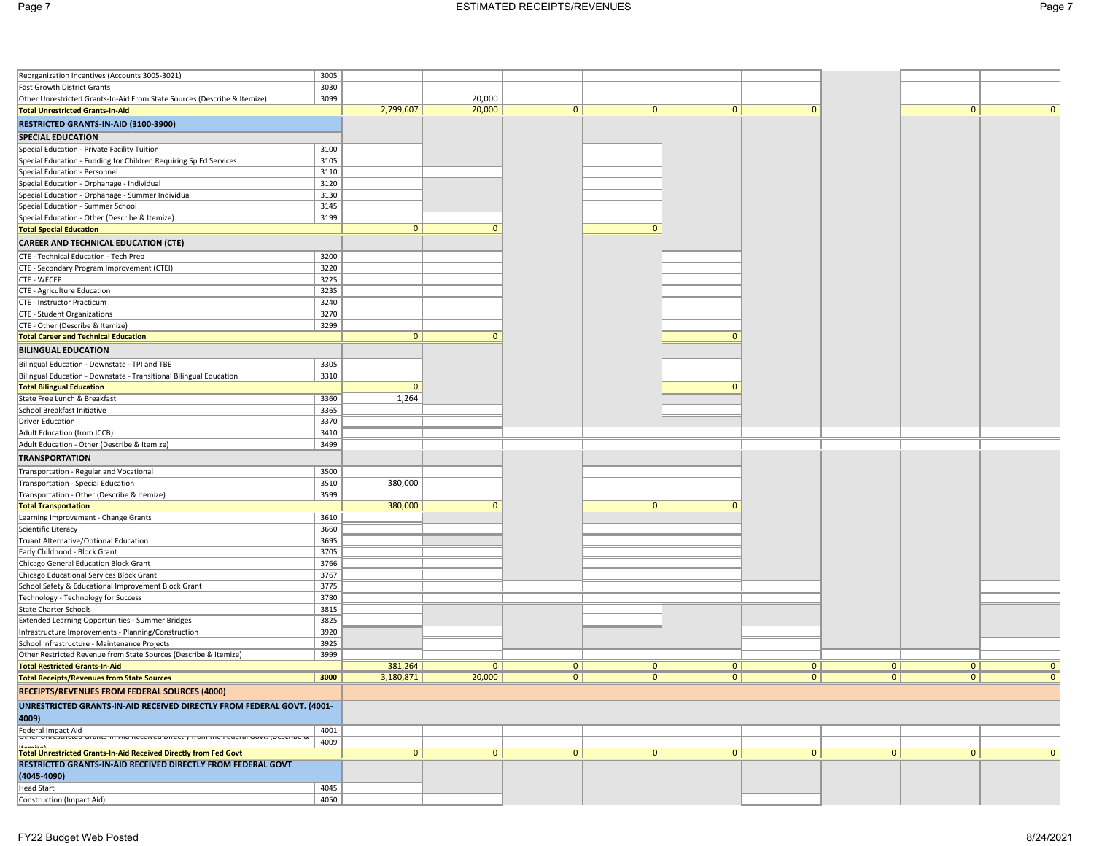| Reorganization Incentives (Accounts 3005-3021)                                                                     | 3005 |              |              |                |                |              |                |                |   |                |
|--------------------------------------------------------------------------------------------------------------------|------|--------------|--------------|----------------|----------------|--------------|----------------|----------------|---|----------------|
| Fast Growth District Grants                                                                                        | 3030 |              |              |                |                |              |                |                |   |                |
| Other Unrestricted Grants-In-Aid From State Sources (Describe & Itemize)                                           | 3099 |              | 20,000       |                |                |              |                |                |   |                |
| <b>Total Unrestricted Grants-In-Aid</b>                                                                            |      | 2,799,607    | 20,000       | $\overline{0}$ | 0 <sup>1</sup> | $\mathbf{0}$ | $\mathbf{0}$   |                | 0 | $\Omega$       |
| RESTRICTED GRANTS-IN-AID (3100-3900)                                                                               |      |              |              |                |                |              |                |                |   |                |
| <b>SPECIAL EDUCATION</b>                                                                                           |      |              |              |                |                |              |                |                |   |                |
| Special Education - Private Facility Tuition                                                                       | 3100 |              |              |                |                |              |                |                |   |                |
| Special Education - Funding for Children Requiring Sp Ed Services                                                  | 3105 |              |              |                |                |              |                |                |   |                |
| Special Education - Personnel                                                                                      | 3110 |              |              |                |                |              |                |                |   |                |
| Special Education - Orphanage - Individual                                                                         | 3120 |              |              |                |                |              |                |                |   |                |
| Special Education - Orphanage - Summer Individual                                                                  | 3130 |              |              |                |                |              |                |                |   |                |
| Special Education - Summer School                                                                                  | 3145 |              |              |                |                |              |                |                |   |                |
| Special Education - Other (Describe & Itemize)                                                                     | 3199 |              |              |                |                |              |                |                |   |                |
| <b>Total Special Education</b>                                                                                     |      | $\mathbf{0}$ | $\mathbf{0}$ |                | $\Omega$       |              |                |                |   |                |
|                                                                                                                    |      |              |              |                |                |              |                |                |   |                |
| <b>CAREER AND TECHNICAL EDUCATION (CTE)</b>                                                                        |      |              |              |                |                |              |                |                |   |                |
| CTE - Technical Education - Tech Prep                                                                              | 3200 |              |              |                |                |              |                |                |   |                |
| CTE - Secondary Program Improvement (CTEI)                                                                         | 3220 |              |              |                |                |              |                |                |   |                |
| CTE - WECEP                                                                                                        | 3225 |              |              |                |                |              |                |                |   |                |
| CTE - Agriculture Education                                                                                        | 3235 |              |              |                |                |              |                |                |   |                |
| CTE - Instructor Practicum                                                                                         | 3240 |              |              |                |                |              |                |                |   |                |
| CTE - Student Organizations                                                                                        | 3270 |              |              |                |                |              |                |                |   |                |
| CTE - Other (Describe & Itemize)                                                                                   | 3299 |              |              |                |                |              |                |                |   |                |
| <b>Total Career and Technical Education</b>                                                                        |      | 0            | $\mathbf{0}$ |                |                | $\mathbf{0}$ |                |                |   |                |
| <b>BILINGUAL EDUCATION</b>                                                                                         |      |              |              |                |                |              |                |                |   |                |
| Bilingual Education - Downstate - TPI and TBE                                                                      | 3305 |              |              |                |                |              |                |                |   |                |
| Bilingual Education - Downstate - Transitional Bilingual Education                                                 | 3310 |              |              |                |                |              |                |                |   |                |
| <b>Total Bilingual Education</b>                                                                                   |      | $\mathbf{0}$ |              |                |                | $\Omega$     |                |                |   |                |
| State Free Lunch & Breakfast                                                                                       | 3360 | 1,264        |              |                |                |              |                |                |   |                |
| School Breakfast Initiative                                                                                        | 3365 |              |              |                |                |              |                |                |   |                |
| <b>Driver Education</b>                                                                                            | 3370 |              |              |                |                |              |                |                |   |                |
| Adult Education (from ICCB)                                                                                        | 3410 |              |              |                |                |              |                |                |   |                |
| Adult Education - Other (Describe & Itemize)                                                                       | 3499 |              |              |                |                |              |                |                |   |                |
| <b>TRANSPORTATION</b>                                                                                              |      |              |              |                |                |              |                |                |   |                |
|                                                                                                                    |      |              |              |                |                |              |                |                |   |                |
| Transportation - Regular and Vocational                                                                            | 3500 |              |              |                |                |              |                |                |   |                |
| Transportation - Special Education                                                                                 | 3510 | 380,000      |              |                |                |              |                |                |   |                |
| Transportation - Other (Describe & Itemize)                                                                        | 3599 |              |              |                |                |              |                |                |   |                |
| <b>Total Transportation</b>                                                                                        |      | 380,000      | $\mathbf{0}$ |                | $\overline{0}$ | $\mathbf{0}$ |                |                |   |                |
| Learning Improvement - Change Grants                                                                               | 3610 |              |              |                |                |              |                |                |   |                |
| Scientific Literacy                                                                                                | 3660 |              |              |                |                |              |                |                |   |                |
| Truant Alternative/Optional Education                                                                              | 3695 |              |              |                |                |              |                |                |   |                |
| Early Childhood - Block Grant                                                                                      | 3705 |              |              |                |                |              |                |                |   |                |
| Chicago General Education Block Grant                                                                              | 3766 |              |              |                |                |              |                |                |   |                |
| Chicago Educational Services Block Grant                                                                           | 3767 |              |              |                |                |              |                |                |   |                |
| School Safety & Educational Improvement Block Grant                                                                | 3775 |              |              |                |                |              |                |                |   |                |
| Technology - Technology for Success                                                                                | 3780 |              |              |                |                |              |                |                |   |                |
| <b>State Charter Schools</b>                                                                                       | 3815 |              |              |                |                |              |                |                |   |                |
| Extended Learning Opportunities - Summer Bridges                                                                   | 3825 |              |              |                |                |              |                |                |   |                |
| Infrastructure Improvements - Planning/Construction                                                                | 3920 |              |              |                |                |              |                |                |   |                |
| School Infrastructure - Maintenance Projects                                                                       | 3925 |              |              |                |                |              |                |                |   |                |
| Other Restricted Revenue from State Sources (Describe & Itemize)                                                   | 3999 |              |              |                |                |              |                |                |   |                |
| <b>Total Restricted Grants-In-Aid</b>                                                                              |      | 381,264      | 0            | 0              | 0              | 0            | 0              | 0 <sup>1</sup> | 0 | $\overline{0}$ |
| <b>Total Receipts/Revenues from State Sources</b>                                                                  | 3000 | 3,180,871    | 20,000       | $\mathbf{0}$   | 0 <sup>1</sup> | 0            | $\overline{0}$ | 0 <sup>1</sup> | 0 | $\overline{0}$ |
| <b>RECEIPTS/REVENUES FROM FEDERAL SOURCES (4000)</b>                                                               |      |              |              |                |                |              |                |                |   |                |
| UNRESTRICTED GRANTS-IN-AID RECEIVED DIRECTLY FROM FEDERAL GOVT. (4001-                                             |      |              |              |                |                |              |                |                |   |                |
| 4009)                                                                                                              |      |              |              |                |                |              |                |                |   |                |
|                                                                                                                    | 4001 |              |              |                |                |              |                |                |   |                |
| Federal Impact Aid<br>  סמופר סווופגנהנגפט סומות -ווה-אוט ולפכפוספט סוופגנוץ ורסווד נחפ רפטפרמו סטענ. (ביפגנהוספ ג | 4009 |              |              |                |                |              |                |                |   |                |
| <b>Total Unrestricted Grants-In-Aid Received Directly from Fed Govt</b>                                            |      | 0            | 0            | 0              | 0              | $\mathbf{0}$ | 0              | 0              | 0 | $\mathbf{0}$   |
| RESTRICTED GRANTS-IN-AID RECEIVED DIRECTLY FROM FEDERAL GOVT                                                       |      |              |              |                |                |              |                |                |   |                |
| (4045-4090)                                                                                                        |      |              |              |                |                |              |                |                |   |                |
| <b>Head Start</b>                                                                                                  | 4045 |              |              |                |                |              |                |                |   |                |
| Construction (Impact Aid)                                                                                          | 4050 |              |              |                |                |              |                |                |   |                |
|                                                                                                                    |      |              |              |                |                |              |                |                |   |                |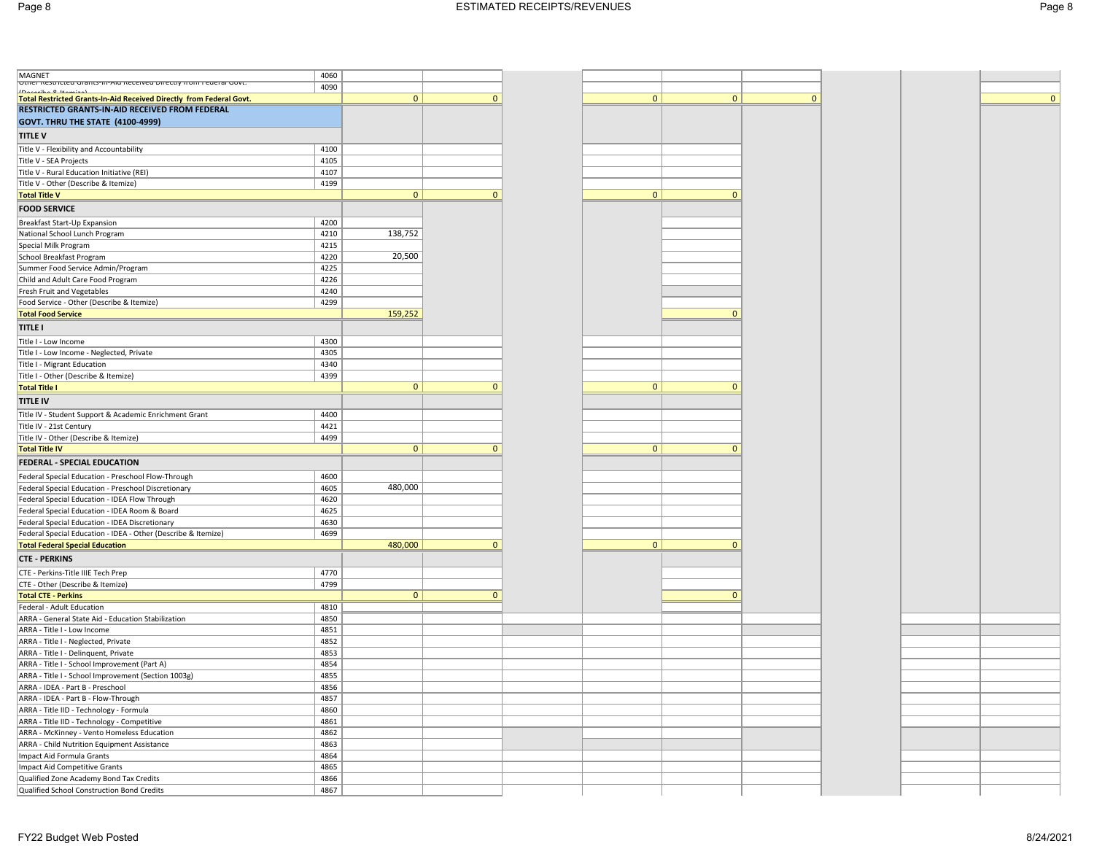| MAGNET<br> Other Restricted Grants-in-Ald Received Directly from Federal Govt. | 4060 |              |              |
|--------------------------------------------------------------------------------|------|--------------|--------------|
| IDecember 0 Herminal                                                           | 4090 |              |              |
| Total Restricted Grants-In-Aid Received Directly from Federal Govt.            |      | 0            | $\mathbf{0}$ |
| RESTRICTED GRANTS-IN-AID RECEIVED FROM FEDERAL                                 |      |              |              |
| GOVT. THRU THE STATE (4100-4999)                                               |      |              |              |
| <b>TITLE V</b>                                                                 |      |              |              |
|                                                                                | 4100 |              |              |
| Title V - Flexibility and Accountability<br>Title V - SEA Projects             | 4105 |              |              |
| Title V - Rural Education Initiative (REI)                                     | 4107 |              |              |
| Title V - Other (Describe & Itemize)                                           | 4199 |              |              |
| <b>Total Title V</b>                                                           |      | $\mathbf{0}$ | $\mathbf{0}$ |
|                                                                                |      |              |              |
| <b>FOOD SERVICE</b>                                                            |      |              |              |
| Breakfast Start-Up Expansion                                                   | 4200 |              |              |
| National School Lunch Program                                                  | 4210 | 138,752      |              |
| Special Milk Program                                                           | 4215 |              |              |
| School Breakfast Program                                                       | 4220 | 20,500       |              |
| Summer Food Service Admin/Program                                              | 4225 |              |              |
| Child and Adult Care Food Program                                              | 4226 |              |              |
| Fresh Fruit and Vegetables                                                     | 4240 |              |              |
| Food Service - Other (Describe & Itemize)                                      | 4299 |              |              |
| <b>Total Food Service</b>                                                      |      | 159,252      |              |
| <b>TITLE I</b>                                                                 |      |              |              |
| Title I - Low Income                                                           | 4300 |              |              |
| Title I - Low Income - Neglected, Private                                      | 4305 |              |              |
| Title I - Migrant Education                                                    | 4340 |              |              |
| Title I - Other (Describe & Itemize)                                           | 4399 |              |              |
| <b>Total Title I</b>                                                           |      | $\mathbf{0}$ | $\mathbf{0}$ |
| <b>TITLE IV</b>                                                                |      |              |              |
|                                                                                |      |              |              |
| Title IV - Student Support & Academic Enrichment Grant                         | 4400 |              |              |
| Title IV - 21st Century                                                        | 4421 |              |              |
| Title IV - Other (Describe & Itemize)                                          | 4499 |              |              |
| <b>Total Title IV</b>                                                          |      | $\mathbf{0}$ | $\mathbf{0}$ |
| <b>FEDERAL - SPECIAL EDUCATION</b>                                             |      |              |              |
| Federal Special Education - Preschool Flow-Through                             | 4600 |              |              |
| Federal Special Education - Preschool Discretionary                            | 4605 | 480,000      |              |
| Federal Special Education - IDEA Flow Through                                  | 4620 |              |              |
| Federal Special Education - IDEA Room & Board                                  | 4625 |              |              |
| Federal Special Education - IDEA Discretionary                                 | 4630 |              |              |
| Federal Special Education - IDEA - Other (Describe & Itemize)                  | 4699 |              |              |
| <b>Total Federal Special Education</b>                                         |      | 480,000      | $\mathbf{0}$ |
| <b>CTE - PERKINS</b>                                                           |      |              |              |
|                                                                                | 4770 |              |              |
| CTE - Perkins-Title IIIE Tech Prep                                             |      |              |              |
| CTE - Other (Describe & Itemize)                                               | 4799 | $\mathbf{0}$ | $\mathbf{0}$ |
| <b>Total CTE - Perkins</b>                                                     |      |              |              |
| Federal - Adult Education                                                      | 4810 |              |              |
| ARRA - General State Aid - Education Stabilization                             | 4850 |              |              |
| ARRA - Title I - Low Income                                                    | 4851 |              |              |
| ARRA - Title I - Neglected, Private                                            | 4852 |              |              |
| ARRA - Title I - Delinquent, Private                                           | 4853 |              |              |
| ARRA - Title I - School Improvement (Part A)                                   | 4854 |              |              |
| ARRA - Title I - School Improvement (Section 1003g)                            | 4855 |              |              |
| ARRA - IDEA - Part B - Preschool                                               | 4856 |              |              |
| ARRA - IDEA - Part B - Flow-Through                                            | 4857 |              |              |
| ARRA - Title IID - Technology - Formula                                        | 4860 |              |              |
| ARRA - Title IID - Technology - Competitive                                    | 4861 |              |              |
| ARRA - McKinney - Vento Homeless Education                                     | 4862 |              |              |
| ARRA - Child Nutrition Equipment Assistance                                    | 4863 |              |              |
| Impact Aid Formula Grants                                                      | 4864 |              |              |
| Impact Aid Competitive Grants                                                  | 4865 |              |              |
| Qualified Zone Academy Bond Tax Credits                                        | 4866 |              |              |
| Qualified School Construction Bond Credits                                     | 4867 |              |              |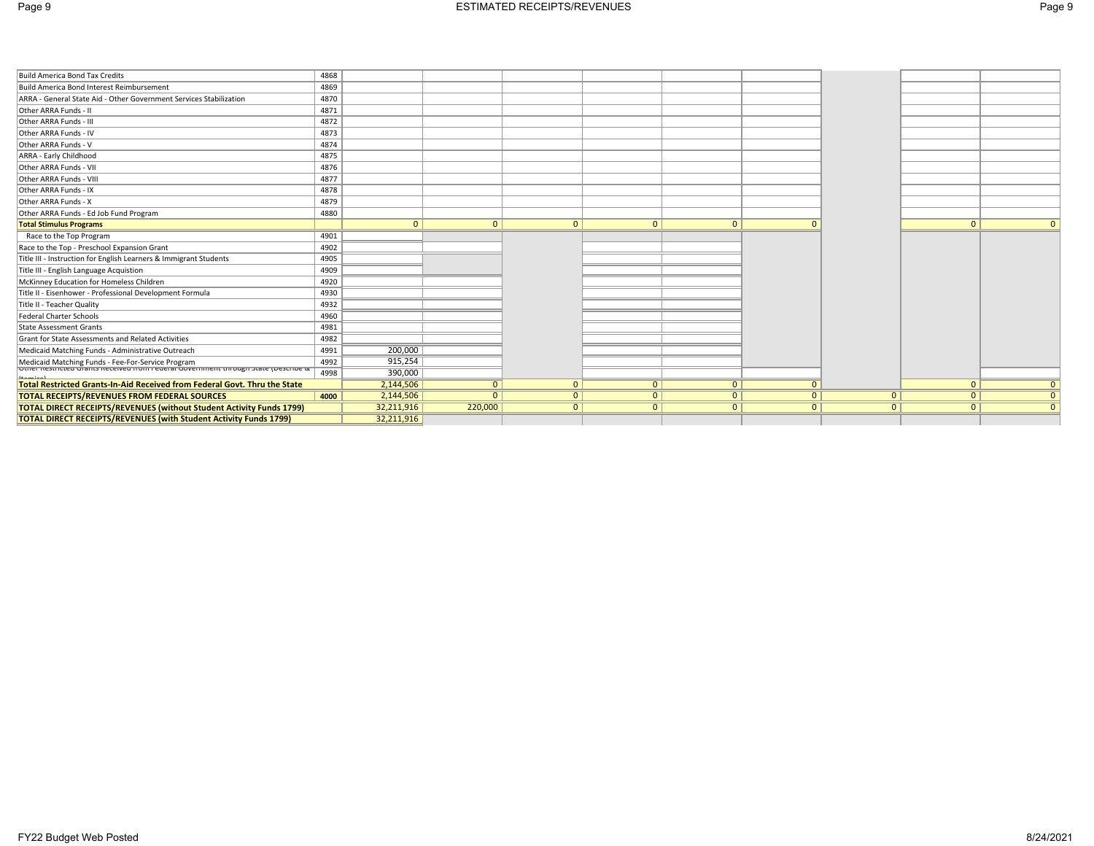|--|--|--|

| Build America Bond Tax Credits                                                                                                                      | 4868 |            |          |                |                |                |          |                |          |                |
|-----------------------------------------------------------------------------------------------------------------------------------------------------|------|------------|----------|----------------|----------------|----------------|----------|----------------|----------|----------------|
| Build America Bond Interest Reimbursement                                                                                                           | 4869 |            |          |                |                |                |          |                |          |                |
| ARRA - General State Aid - Other Government Services Stabilization                                                                                  | 4870 |            |          |                |                |                |          |                |          |                |
| Other ARRA Funds - II                                                                                                                               | 4871 |            |          |                |                |                |          |                |          |                |
| Other ARRA Funds - III                                                                                                                              | 4872 |            |          |                |                |                |          |                |          |                |
| Other ARRA Funds - IV                                                                                                                               | 4873 |            |          |                |                |                |          |                |          |                |
| Other ARRA Funds - V                                                                                                                                | 4874 |            |          |                |                |                |          |                |          |                |
| ARRA - Early Childhood                                                                                                                              | 4875 |            |          |                |                |                |          |                |          |                |
| Other ARRA Funds - VII                                                                                                                              | 4876 |            |          |                |                |                |          |                |          |                |
| Other ARRA Funds - VIII                                                                                                                             | 4877 |            |          |                |                |                |          |                |          |                |
| Other ARRA Funds - IX                                                                                                                               | 4878 |            |          |                |                |                |          |                |          |                |
| Other ARRA Funds - X                                                                                                                                | 4879 |            |          |                |                |                |          |                |          |                |
| Other ARRA Funds - Ed Job Fund Program                                                                                                              | 4880 |            |          |                |                |                |          |                |          |                |
| <b>Total Stimulus Programs</b>                                                                                                                      |      | $\Omega$   | $\Omega$ | $\mathbf{0}$   | $\mathbf{0}$   | $\overline{0}$ |          |                | $\Omega$ |                |
| Race to the Top Program                                                                                                                             | 4901 |            |          |                |                |                |          |                |          |                |
| Race to the Top - Preschool Expansion Grant                                                                                                         | 4902 |            |          |                |                |                |          |                |          |                |
| Title III - Instruction for English Learners & Immigrant Students                                                                                   | 4905 |            |          |                |                |                |          |                |          |                |
| Title III - English Language Acquistion                                                                                                             | 4909 |            |          |                |                |                |          |                |          |                |
| McKinney Education for Homeless Children                                                                                                            | 4920 |            |          |                |                |                |          |                |          |                |
| Title II - Eisenhower - Professional Development Formula                                                                                            | 4930 |            |          |                |                |                |          |                |          |                |
| Title II - Teacher Quality                                                                                                                          | 4932 |            |          |                |                |                |          |                |          |                |
| <b>Federal Charter Schools</b>                                                                                                                      | 4960 |            |          |                |                |                |          |                |          |                |
| State Assessment Grants                                                                                                                             | 4981 |            |          |                |                |                |          |                |          |                |
| Grant for State Assessments and Related Activities                                                                                                  | 4982 |            |          |                |                |                |          |                |          |                |
| Medicaid Matching Funds - Administrative Outreach                                                                                                   | 4991 | 200,000    |          |                |                |                |          |                |          |                |
| Medicaid Matching Funds - Fee-For-Service Program<br> บเทยา ห้อรเทเดียน Grants ห้อดอินอยากับกา ห้อนอิเล็ก Government เทคบินิยก รัเลเอ (มอรดิกันอิ ผ | 4992 | 915,254    |          |                |                |                |          |                |          |                |
|                                                                                                                                                     | 4998 | 390,000    |          |                |                |                |          |                |          |                |
| Total Restricted Grants-In-Aid Received from Federal Govt. Thru the State                                                                           |      | 2,144,506  | $\Omega$ | $\mathbf{0}$   | 0 <sup>1</sup> | $\Omega$       |          |                | $\Omega$ | 0 <sup>1</sup> |
| <b>TOTAL RECEIPTS/REVENUES FROM FEDERAL SOURCES</b>                                                                                                 | 4000 | 2,144,506  | $\Omega$ | $\mathbf{0}$   | $\overline{0}$ | $\Omega$       | $\Omega$ | 0 <sup>1</sup> | $\Omega$ | 0 <sup>1</sup> |
| <b>TOTAL DIRECT RECEIPTS/REVENUES (without Student Activity Funds 1799)</b>                                                                         |      | 32,211,916 | 220,000  | $\overline{0}$ | 0 <sup>1</sup> | 0 <sup>1</sup> | $\Omega$ | 0 <sup>1</sup> | $\Omega$ | 0 <sup>1</sup> |
| <b>TOTAL DIRECT RECEIPTS/REVENUES (with Student Activity Funds 1799)</b>                                                                            |      | 32,211,916 |          |                |                |                |          |                |          |                |
|                                                                                                                                                     |      |            |          |                |                |                |          |                |          |                |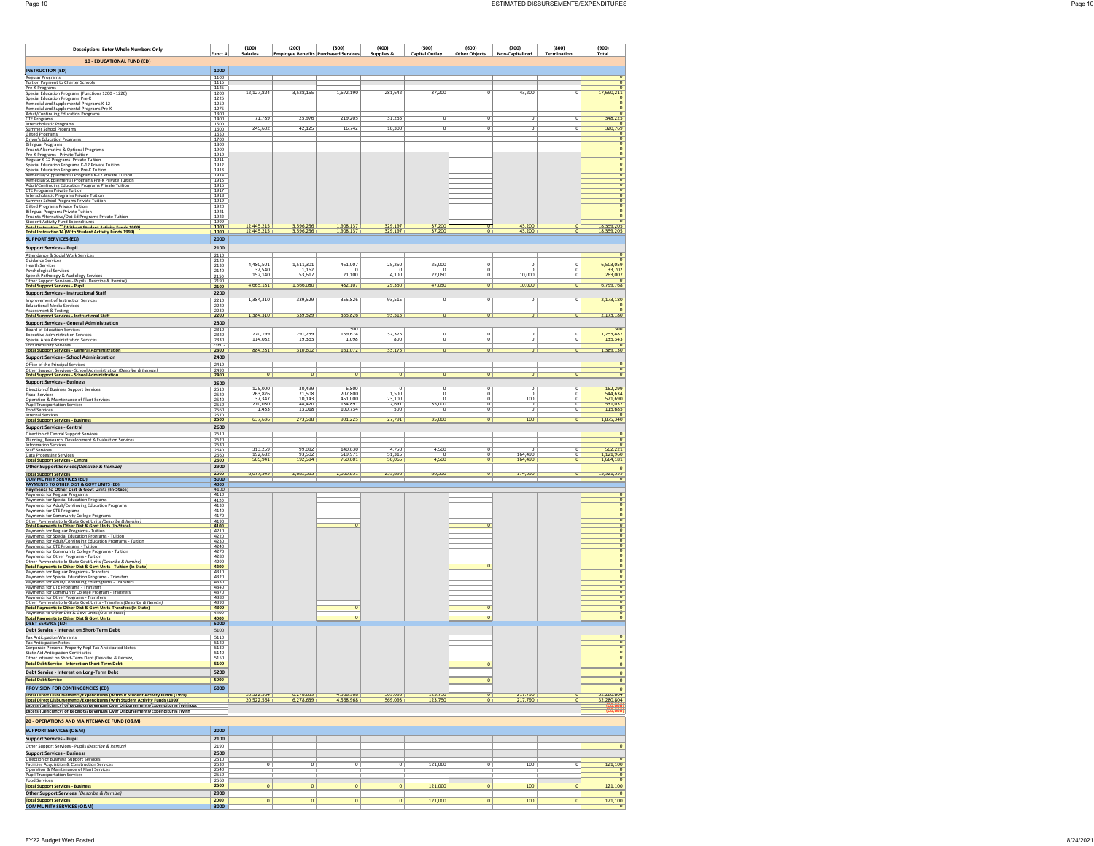| <b>Description: Enter Whole Numbers Only</b>                                                                                                                                                                                                       | Funct #                     | (100)<br><b>Salaries</b>     | (200)                      | (300)<br><b>Employee Benefits Purchased Services</b> | (400)                         | (500)                     | (600)                      | (700)                      | (800)<br><b>Termination</b> | (900)<br>Total                            |
|----------------------------------------------------------------------------------------------------------------------------------------------------------------------------------------------------------------------------------------------------|-----------------------------|------------------------------|----------------------------|------------------------------------------------------|-------------------------------|---------------------------|----------------------------|----------------------------|-----------------------------|-------------------------------------------|
| 10 - EDUCATIONAL FUND (ED)                                                                                                                                                                                                                         |                             |                              |                            |                                                      | Supplies &                    | <b>Capital Outlav</b>     | <b>Other Objects</b>       | Non-Capitalized            |                             |                                           |
| <b>INSTRUCTION (ED)</b>                                                                                                                                                                                                                            | 1000                        |                              |                            |                                                      |                               |                           |                            |                            |                             |                                           |
| Regular Programs<br>Tuition Payment to Charter Schools<br>Pre-K Programs                                                                                                                                                                           | 1100<br>1115<br>1125        |                              |                            |                                                      |                               |                           |                            |                            |                             | $\overline{0}$                            |
|                                                                                                                                                                                                                                                    | 1200<br>$\frac{1225}{1250}$ | 12,127,824                   | 3,528,155                  | 1,672,190                                            | 281,642                       | 37,200                    | 0                          | 43,200                     | O                           | 17,690,211<br>O                           |
| Pre-A-Programs<br>Special Education Programs (Functions 1200 - 1220)<br>Special Education Programs Pre-K<br>Remedial and Supplemental Programs K-12<br>Remedial and Supplemental Programs Pre-K<br>Adult Catalogia of Supplemental Programs        | 1275<br>1300                |                              |                            |                                                      |                               |                           |                            |                            |                             | $\frac{0}{0}$                             |
| <b>Adult/Continuing Education Programs</b><br>CTE Programs                                                                                                                                                                                         | 1400                        | 71,789                       | 25,976                     | 219,205                                              | 31,255                        | O                         | σ                          | O                          | σ                           | 348,225<br>$\overline{0}$                 |
| CTE Programs<br>Interscholastic Programs<br>Summer School Programs<br>Gifted Programs                                                                                                                                                              | $\frac{1500}{1600}$<br>1650 | 245,602                      | 42,125                     | 16,742                                               | 16,300                        | Ō                         | O                          | O                          | Ū                           | 320,769<br>$\frac{0}{0}$                  |
| Gitter Programs<br>Christer Programs<br>Truant Alternative & Optional Programs<br>Truant Alternative & Optional Programs<br>Pre-K Programs - Private Tuition<br>Special Education Programs K-12 Private Tuition<br>Special Education Programs K-   | 1700<br>1800<br>1900        |                              |                            |                                                      |                               |                           |                            |                            |                             |                                           |
|                                                                                                                                                                                                                                                    | 1910                        |                              |                            |                                                      |                               |                           |                            |                            |                             | $\frac{1}{\sqrt{2}}$                      |
| Special Education Programs Pre-K Tuition<br>Remedial/Supplemental Programs K-12 Private Tuition                                                                                                                                                    | $\frac{1911}{1912}$<br>1913 |                              |                            |                                                      |                               |                           |                            |                            |                             | $\frac{0}{0}$                             |
|                                                                                                                                                                                                                                                    | 1914<br>1915                |                              |                            |                                                      |                               |                           |                            |                            |                             | o<br>$\overline{0}$                       |
| Remedial/Supplemental Programs R-12 Private Lution<br>Remedial/Supplemental Programs R-te-X Private Lution<br>Advil/Continuing Education Programs Private Tuition<br>Interscholastic Programs Private Tuition<br>Summer School Programs Pr         | 1916<br>$\frac{1917}{1918}$ |                              |                            |                                                      |                               |                           |                            |                            |                             | O<br>$\sigma$                             |
|                                                                                                                                                                                                                                                    | 1919<br>1920                |                              |                            |                                                      |                               |                           |                            |                            |                             | o<br>$\overline{0}$                       |
| Bilingual Programs Private Tuition<br>Truants Alternative/Opt Ed Programs Private Tuition                                                                                                                                                          | 1921<br>1922                |                              |                            |                                                      |                               |                           |                            |                            |                             | O<br>$\frac{0}{0}$                        |
| Student Activity Fund Expenditures<br><mark>Total Instruction<sup>34</sup> (Without Student Activity Funds 1999)</mark><br>Total Instruction14 (With Student Activity Funds 1999)                                                                  | 1999<br>1000<br>1000        | 12,445,215<br>12,445,215     | 3,596,256<br>3,596,256     | 1,908,137<br>1,908,137                               | 329,197<br>329,197            | 37,200<br>37,200          | $\mathbf 0$                | 43,200<br>43,200           | $\overline{\mathbf{0}}$     | 18,359,205<br>18,359,205                  |
| <b>SUPPORT SERVICES (ED)</b>                                                                                                                                                                                                                       | 2000                        |                              |                            |                                                      |                               |                           |                            |                            |                             |                                           |
| Support Services - Pupil<br>Attendance & Social Work Services                                                                                                                                                                                      | 2100<br>2110                |                              |                            |                                                      |                               |                           |                            |                            |                             |                                           |
| Guidance Services                                                                                                                                                                                                                                  | 2120<br>2130                | 4,480,501<br>32,540          | 1,511,301                  | 461,007                                              | 25,250                        | 25,000                    | 0                          | 0                          | o                           | 6,503,059                                 |
| Health Services<br>Psychological Services<br>Speech Pathology & Audiology Services<br>Other Support Services - Pupils (Describe & Itemize)                                                                                                         | 2140<br>2150<br>2190        | 152,140                      | 1.162<br>53,617            | 70<br>21,100                                         | 71<br>4,100                   | 70<br>22,050              | $\sigma$<br>O              | σ<br>10,000                | σ<br>Ū                      | 263,007<br>$\overline{0}$                 |
| <b>Total Support Services - Pupil</b>                                                                                                                                                                                                              | 2100                        | 4,665,181                    | 1,566,080                  | 482,107                                              | 29,350                        | 47,050                    | $\mathbf 0$                | 10,000                     | O                           | 6,799,768                                 |
| <b>Support Services - Instructional Staff</b><br>Improvement of Instruction Services                                                                                                                                                               | 2200<br>2210                | 1,384,310                    | 339,529                    | 355,826                                              | 93,515                        | $\overline{\mathfrak{o}}$ | $\overline{0}$             | $\overline{0}$             | $\overline{0}$              | 2,173,180                                 |
| <b>Educational Media Services</b><br>Assessment & Testing<br><b>Total Support Services - Instructional Staff</b>                                                                                                                                   | $\frac{2220}{2230}$<br>2200 | 1,384,310                    | 339,529                    | 355,826                                              | 93,515                        | $\mathbf{0}$              | $\mathbf{0}$               | $\mathbf{0}$               | $\mathbf{0}$                | $\overline{0}$<br>$\frac{0}{2,173,180}$   |
| <b>Support Services - General Administration</b>                                                                                                                                                                                                   | 2300                        |                              |                            |                                                      |                               |                           |                            |                            |                             |                                           |
| <b>Board of Education Services</b><br><b>Executive Administration Services</b>                                                                                                                                                                     | 2310<br>2320<br>2330        | 770.199<br>114,082           | 291.239<br>19,363          | 300<br>159,674<br>1,098                              | 32,375<br>800                 | $\overline{0}$<br>σ       | $\overline{0}$<br>σ        | $\overline{0}$<br>σ        | $\overline{0}$<br>σ         | 300<br>1,253,487                          |
| Special Area Administration Services<br>Tort Immunity Services<br><b>Total Support Services - General Administration</b>                                                                                                                           | $\frac{2360}{2300}$         | 884,281                      | 310,602                    | 161,072                                              | 33,175                        | $\mathbf{0}$              | Ō                          | $\mathbf{0}$               | $\overline{\mathbf{0}}$     | $\overline{0}$<br>1,389,130               |
| <b>Support Services - School Administration</b>                                                                                                                                                                                                    | 2400                        |                              |                            |                                                      |                               |                           |                            |                            |                             | $\overline{0}$                            |
| Office of the Principal Services<br>Other Support Services - School Administration (Describe & Itemize)<br><mark>Total Support Services - School Administration</mark>                                                                             | 2410<br>2490<br>2400        | $\mathbf 0$                  | $\mathbf{0}$               | $\bf{0}$                                             | $\overline{0}$                | $\mathbf 0$               | O                          | $\pmb{\sigma}$             | O                           | $\overline{0}$<br>$\overline{\mathbf{0}}$ |
| <b>Support Services - Business</b>                                                                                                                                                                                                                 | 2500                        |                              |                            |                                                      |                               |                           |                            |                            |                             |                                           |
| Direction of Business Support Services<br><b>Fiscal Services</b>                                                                                                                                                                                   | 2510<br>2520                | 125,000<br>263,826<br>37,347 | 30,499<br>71,508<br>10,143 | 6,800<br>207,800<br>451,000<br>134,891               | 1,500                         | $\overline{0}$<br>'n      | $\overline{0}$<br>$\sigma$ | ō<br>$\overline{0}$<br>100 | $^{\circ}$<br>π             | 162,299<br>544,634<br>521,690<br>531,032  |
| Operation & Maintenance of Plant Services<br>Pupil Transportation Services<br>Food Services<br>Internal Services                                                                                                                                   | 2540<br>2550                | 210,030<br>1,433             | 148,420<br>13,018          | 100,734                                              | $\frac{23,100}{2,691}$<br>500 | 35,000<br>σ               | σ<br>σ                     | ο<br>$\sigma$              | σ<br>σ                      | 115,685                                   |
| <b>Total Support Services - Business</b>                                                                                                                                                                                                           | 2560<br>2500                | 637,636                      | 273,588                    | 901,225                                              | 27,791                        | 35,000                    | $\sigma$                   | 100                        | O                           | 1,875,340                                 |
| Support Services - Central<br>Direction of Central Support Services                                                                                                                                                                                | 2600<br>2610                |                              |                            |                                                      |                               |                           |                            |                            |                             | n                                         |
| Planning, Research, Development & Evaluation Services<br>Information Services                                                                                                                                                                      | 2620<br>2630                |                              |                            |                                                      |                               |                           |                            |                            |                             | $\frac{0}{0}$                             |
| Staff Services<br>Data Processing Services                                                                                                                                                                                                         | 2640<br>2660                | 313,259<br>192.682           | 99,082<br>93.502           | 140,630<br>619.971                                   | 4,750<br>51.315               | 4,500<br>-0               | O<br>$\sigma$              | 164,490                    | $\overline{0}$<br>σ         | 562,221<br>1.121.960                      |
| <b>Total Support Services - Central</b><br>Other Support Services (Describe & Itemize)                                                                                                                                                             | 2600<br>2900                | 505,941                      | 192,584                    | 760,601                                              | 56,065                        | 4,500                     | O                          | 164,490                    | O                           | 1,684,181                                 |
| Total Support Services<br>COMMUNITY SERVICES (ED)<br>PAYMENTS TO OTHER DIST & GOVT UNITS (ED)<br>Payments to Other Dist & Govt Units (In-State)                                                                                                    | 2000<br>3000                | 8,077,349                    | 2,682,383                  | 2,660,831                                            | 239,896                       | 86,550                    | $\mathbf{0}$               | 174,590                    | $\overline{0}$              | 0<br>13,921,599<br>$\mathbf{0}$           |
|                                                                                                                                                                                                                                                    | 4000<br>4100                |                              |                            |                                                      |                               |                           |                            |                            |                             | $\overline{0}$                            |
| Payments for Regular Programs<br>Payments for Special Education Programs<br>Payments for Special Education Programs<br>Payments for CTE Programs<br>Payments for CTE Programs<br>Payments for Community College Programs                           | 4110<br>4120                |                              |                            |                                                      |                               |                           |                            |                            |                             | $\overline{\mathbf{0}}$<br>$\overline{0}$ |
|                                                                                                                                                                                                                                                    | $\frac{4130}{4140}$<br>4170 |                              |                            |                                                      |                               |                           |                            |                            |                             | $\tilde{0}$<br>$\frac{0}{0}$              |
| Other Payments to In-State Govt Units (Describe & Itemize)<br>Total Payments to Other Dist & Govt Units (In-State)                                                                                                                                 | $\frac{4190}{4100}$         |                              |                            |                                                      |                               |                           |                            |                            |                             |                                           |
| Payments for Regular Programs - Tuition<br>Payments for Special Education Programs - Tuition                                                                                                                                                       | $\frac{4210}{4220}$<br>4230 |                              |                            |                                                      |                               |                           |                            |                            |                             | $\frac{1}{\sqrt{2}}$                      |
| Payments for Adult/Continuing Education Programs - Tuition<br>Payments for CTE Programs - Tuition<br>Payments for Community College Programs - Tuition<br>Payments for Other Programs - Tuition                                                    | 4240<br>4270                |                              |                            |                                                      |                               |                           |                            |                            |                             | $\overline{0}$<br>$\frac{0}{0}$           |
| Other Payments to In-State Govt Units (Describe & Itemize)<br>Total Payments to Other Dist & Govt Units - Tuition (In State)                                                                                                                       | 4280<br>4290                |                              |                            |                                                      |                               |                           |                            |                            |                             | $\overline{\mathbf{0}}$<br>$\overline{0}$ |
|                                                                                                                                                                                                                                                    | 4200<br>4310<br>4320        |                              |                            |                                                      |                               |                           |                            |                            |                             | Ō<br>$\sigma$                             |
| Folker and Four Broadway The Programs - Transfers<br>Payments for Special Education Programs - Transfers<br>Payments for Special Education Programs - Transfers<br>Payments for Adult/Continuing Ed Programs - Transfers<br>Payments for C         | 4330<br>4340                |                              |                            |                                                      |                               |                           |                            |                            |                             | O<br>$\overline{0}$                       |
| Payments for Other Programs - Transfers<br>Other Payments to In-State Govt Units - Transfers (Describe & Itemize)                                                                                                                                  | 4370<br>4380<br>4390        |                              |                            |                                                      |                               |                           |                            |                            |                             | O<br>$\frac{0}{0}$                        |
| Total Payments to Other Dist & Govt Units-Transfers (In State)<br>Payments to Other Dist & Govt Units (Out of State)                                                                                                                               | 4300                        |                              |                            | $\mathbf{0}$                                         |                               |                           | $\circ$                    |                            |                             | $\frac{0}{0}$                             |
| Total Payments to Other Dist & Govt Units<br>DEBT SERVICE (ED)                                                                                                                                                                                     | $\frac{4000}{5000}$         |                              |                            | $\overline{0}$                                       |                               |                           | $\mathbf{0}$               |                            |                             | $\bullet$                                 |
| Debt Service - Interest on Short-Term Debt<br><b>Tax Anticipation Warrants</b>                                                                                                                                                                     | 5100<br>5110                |                              |                            |                                                      |                               |                           |                            |                            |                             | $\overline{0}$                            |
| Tax Anticipation Notes<br>Corporate Personal Property Repl Tax Anticipated Notes                                                                                                                                                                   | 5120<br>5130                |                              |                            |                                                      |                               |                           |                            |                            |                             | $\frac{1}{2}$                             |
| State Aid Anticipation Certificates<br>Other Interest on Short-Term Debt <i>(Describe &amp; Itemize)</i>                                                                                                                                           | 5140<br>5150                |                              |                            |                                                      |                               |                           |                            |                            |                             | $\overline{0}$                            |
| <b>Total Debt Service - Interest on Short-Term Debt</b><br>Debt Service - Interest on Long-Term Debt                                                                                                                                               | 5100<br>5200                |                              |                            |                                                      |                               |                           | 0                          |                            |                             | $\pmb{0}$<br>$\mathbf{0}$                 |
| <b>Total Debt Service</b><br><b>PROVISION FOR CONTINGENCIES (ED)</b>                                                                                                                                                                               | 5000<br>6000                |                              |                            |                                                      |                               |                           | $\mathbf 0$                |                            |                             | $\pmb{0}$                                 |
| Total Direct Disbursements/Expenditures (without Student Activity Funds (1999)                                                                                                                                                                     |                             | 20.522.564                   | 6,278,639                  | 4,568,968                                            | 569,093                       | 123,750<br>123,750        |                            | 217,790<br>217,790         | $\overline{\mathbf{0}}$     | $\mathbf 0$<br>32.280.804                 |
| Total Direct Disbursements/Expenditures (with Student Activity Funds (1999)<br>Excess (Deficiency) of Receipts/Revenues Over Disbursements/Expenditures (Without<br>Excess (Deficiency) of Receipts/Revenues Over Disbursements/Expenditures (With |                             | 20.522.564                   | 6,278,639                  | 4,568,968                                            | 569,093                       |                           |                            |                            |                             | 32,280,804                                |
| 20 - OPERATIONS AND MAINTENANCE FUND (O&M)                                                                                                                                                                                                         |                             |                              |                            |                                                      |                               |                           |                            |                            |                             |                                           |
| <b>SUPPORT SERVICES (O&amp;M)</b>                                                                                                                                                                                                                  | 2000                        |                              |                            |                                                      |                               |                           |                            |                            |                             |                                           |
| Support Services - Pupil<br>Other Support Services - Pupils (Describe & Itemize)                                                                                                                                                                   | 2100<br>2190                |                              |                            |                                                      |                               |                           |                            |                            |                             | $\bf{0}$                                  |
| <b>Support Services - Business</b>                                                                                                                                                                                                                 | 2500                        |                              |                            |                                                      |                               |                           |                            |                            |                             | $\overline{0}$                            |
| Direction of Business Support Services<br>Facilities Acquisition & Construction Services<br>Operation & Maintenance of Plant Services                                                                                                              | 2510<br>2530<br>2540        | $\overline{\mathbf{u}}$      | $\overline{\mathbf{u}}$    |                                                      | $\overline{v}$                | 121,000                   | $\overline{\mathbf{u}}$    | <b>TUU</b>                 | $\overline{\mathbf{u}}$     | 121,100<br>$\overline{0}$                 |
| Pupil Transportation Services<br>Food Services                                                                                                                                                                                                     | 2550<br>2560                |                              |                            |                                                      |                               |                           |                            |                            |                             | $\overline{0}$<br>$\overline{0}$          |
| <b>Total Support Services - Business</b><br>Other Support Services (Describe & Itemize)                                                                                                                                                            | 2500<br>2900                | $\pmb{0}$                    | $\mathbf{0}$               | $\pmb{0}$                                            | $\mathbf{0}$                  | 121,000                   | $\mathbf{0}$               | 100                        | $\bf{0}$                    | 121,100<br>$\mathbf{0}$                   |
| <b>Total Support Services</b><br><b>COMMUNITY SERVICES (O&amp;M)</b>                                                                                                                                                                               | 2000<br>3000                | $\pmb{0}$                    | $\mathbf{0}$               | $\pmb{0}$                                            | $\mathbf{0}$                  | 121,000                   | $\mathbf{0}$               | 100                        | $\mathbf{0}$                | 121,100                                   |
|                                                                                                                                                                                                                                                    |                             |                              |                            |                                                      |                               |                           |                            |                            |                             |                                           |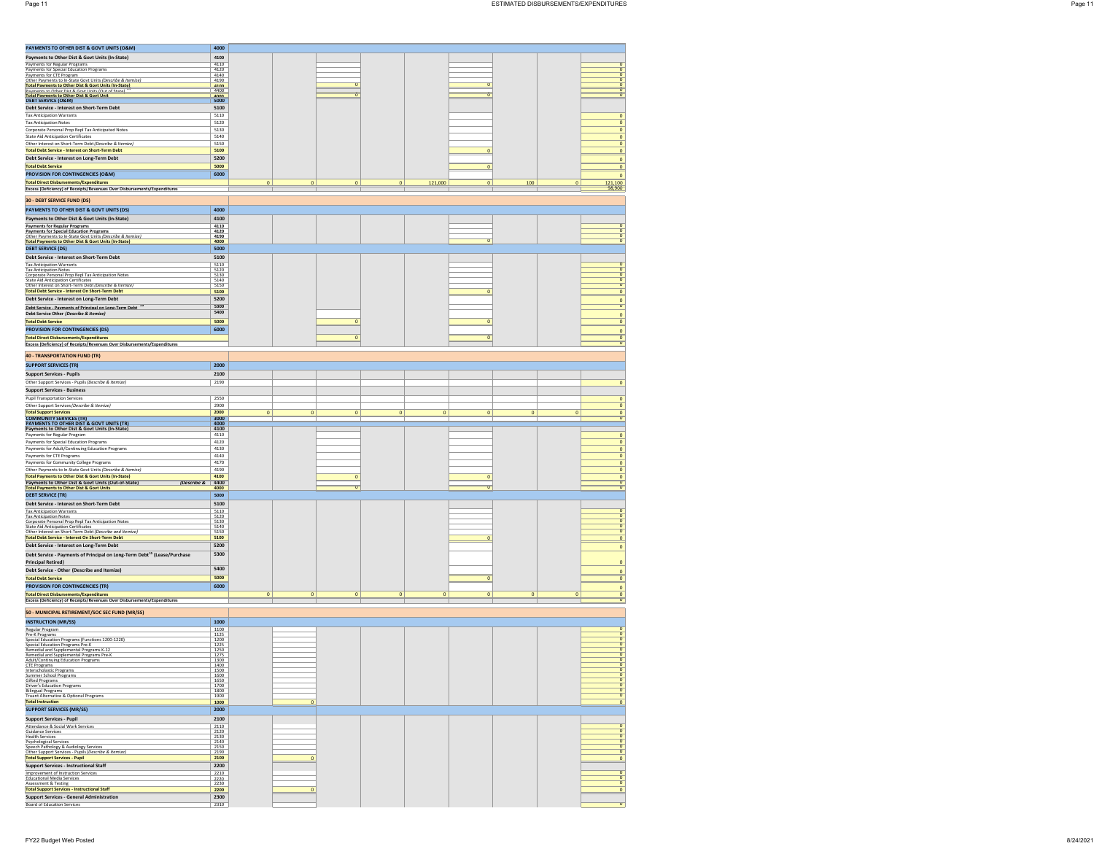| PAYMENTS TO OTHER DIST & GOVT UNITS (O&M)                                                                                                                                | 4000                |             |                           |              |                        |             |                                |
|--------------------------------------------------------------------------------------------------------------------------------------------------------------------------|---------------------|-------------|---------------------------|--------------|------------------------|-------------|--------------------------------|
| Payments to Other Dist & Govt Units (In-State)                                                                                                                           | 4100                |             |                           |              |                        |             |                                |
| Payments for Regular Programs                                                                                                                                            | 4110                |             |                           |              |                        |             |                                |
| Payments for Special Education Programs<br>Payments for CTE Program                                                                                                      | 4120<br>4140        |             |                           |              |                        |             |                                |
| Other Payments to In-State Govt Units (Describe & Itemize)<br>Total Payments to Other Dist & Govt Units (In-State)<br>Rawments to Other Dist & Govt Units (Out of State) | 4190<br>4100        |             | $\mathbf{a}$              |              |                        |             |                                |
|                                                                                                                                                                          | 4400                |             |                           |              |                        |             |                                |
| Total Payments to Other Dist & Govt Unit<br>DEBT SERVICE (O&M)                                                                                                           | 4000                |             | Ŧ                         |              | n                      |             |                                |
| Debt Service - Interest on Short-Term Debt                                                                                                                               | 5100                |             |                           |              |                        |             |                                |
| <b>Tax Anticipation Warrants</b>                                                                                                                                         | 5110                |             |                           |              |                        |             | $\mathbf{0}$                   |
| <b>Tax Anticipation Notes</b>                                                                                                                                            | 5120                |             |                           |              |                        |             | $\mathbf{0}$                   |
| Corporate Personal Prop Repl Tax Anticipated Notes                                                                                                                       | 5130                |             |                           |              |                        |             | $\mathbf{0}$                   |
| State Aid Anticipation Certificates                                                                                                                                      | 5140                |             |                           |              |                        |             | $\mathbf 0$                    |
| Other Interest on Short-Term Debt (Describe & Itemize)                                                                                                                   | 5150<br>5100        |             |                           |              | $\circ$                |             | $\mathbf{0}$                   |
| <b>Total Debt Service - Interest on Short-Term Debt</b><br>Debt Service - Interest on Long-Term Debt                                                                     | 5200                |             |                           |              |                        |             | $\mathbf{0}$                   |
| <b>Total Debt Service</b>                                                                                                                                                | 5000                |             |                           |              | $\mathbf{0}$           |             | $\mathbf 0$<br>$\mathbf{0}$    |
| PROVISION FOR CONTINGENCIES (O&M)                                                                                                                                        | 6000                |             |                           |              |                        |             |                                |
| <b>Total Direct Disbursements/Expenditures</b>                                                                                                                           |                     | $\bf{0}$    | $\pmb{0}$<br>$\mathbf{0}$ | $\mathbf 0$  | 121,000<br>$\bf{0}$    | 100         | $\circ$<br>121,100<br>$\bf{0}$ |
| Excess (Deficiency) of Receipts/Revenues Over Disbursements/Expenditures                                                                                                 |                     |             |                           |              |                        |             | 98,900                         |
|                                                                                                                                                                          |                     |             |                           |              |                        |             |                                |
| <b>30 - DEBT SERVICE FUND (DS)</b>                                                                                                                                       |                     |             |                           |              |                        |             |                                |
| PAYMENTS TO OTHER DIST & GOVT UNITS (DS)                                                                                                                                 | 4000                |             |                           |              |                        |             |                                |
| Payments to Other Dist & Govt Units (In-State)                                                                                                                           | 4100                |             |                           |              |                        |             |                                |
| <b>Payments for Regular Programs</b>                                                                                                                                     | 4110                |             |                           |              |                        |             |                                |
| <b>Payments for Special Education Programs</b><br>Other Payments to In-State Govt Units (Describe & Itemize)                                                             | 4120<br>4190        |             |                           |              |                        |             |                                |
| <b>Total Payments to Other Dist &amp; Govt Units (In-State)</b>                                                                                                          | 4000                |             |                           |              | $\sigma$               |             |                                |
| <b>DEBT SERVICE (DS)</b>                                                                                                                                                 | 5000                |             |                           |              |                        |             |                                |
| Debt Service - Interest on Short-Term Debt                                                                                                                               | 5100                |             |                           |              |                        |             |                                |
| <b>Tax Anticipation Warrants</b><br><b>Tax Anticipation Notes</b>                                                                                                        | 5110<br>5120        |             |                           |              |                        |             |                                |
| Corporate Personal Prop Repl Tax Anticipation Notes                                                                                                                      | 5130                |             |                           |              |                        |             | $\overline{0}$                 |
| <b>State Aid Anticipation Certificates</b><br>Other Interest on Short-Term Debt (Describe & Itemize)                                                                     | 5140<br>5150        |             |                           |              |                        |             | $\overline{0}$                 |
| Total Debt Service - Interest On Short-Term Debt                                                                                                                         | 5100                |             |                           |              | $\circ$                |             | $\circ$                        |
| Debt Service - Interest on Long-Term Debt                                                                                                                                | 5200                |             |                           |              |                        |             | $\mathbf{0}$                   |
| Deht Service - Payments of Principal on Long-Term Deht <sup>42</sup>                                                                                                     | 5300                |             |                           |              |                        |             | O                              |
| Debt Service Other (Describe & Itemize)                                                                                                                                  | 5400                |             |                           |              |                        |             | $\circ$                        |
| <b>Total Debt Service</b>                                                                                                                                                | 5000                |             | $\Omega$                  |              | $\mathbf{0}$           |             | $\mathbf{0}$                   |
| PROVISION FOR CONTINGENCIES (DS)                                                                                                                                         | 6000                |             |                           |              |                        |             | $\mathbf{0}$                   |
| <b>Total Direct Disbursements/Expenditures</b>                                                                                                                           |                     |             | $\mathbf 0$               |              | $\mathbf 0$            |             |                                |
| Excess (Deficiency) of Receipts/Revenues Over Disbursements/Expenditures                                                                                                 |                     |             |                           |              |                        |             |                                |
| <b>40 - TRANSPORTATION FUND (TR)</b>                                                                                                                                     |                     |             |                           |              |                        |             |                                |
| <b>SUPPORT SERVICES (TR)</b>                                                                                                                                             | 2000                |             |                           |              |                        |             |                                |
| <b>Support Services - Pupils</b>                                                                                                                                         | 2100                |             |                           |              |                        |             |                                |
| Other Support Services - Pupils (Describe & Itemize)                                                                                                                     | 2190                |             |                           |              |                        |             | $\circ$                        |
| <b>Support Services - Business</b>                                                                                                                                       |                     |             |                           |              |                        |             |                                |
| <b>Pupil Transportation Services</b>                                                                                                                                     | 2550                |             |                           |              |                        |             | $\mathbf{0}$                   |
| Other Support Services (Describe & Itemize)                                                                                                                              | 2900                |             |                           |              |                        |             | $\mathbf{0}$                   |
| <b>Total Support Services</b>                                                                                                                                            | 2000                | $\mathbf 0$ | $\mathbf 0$<br>$\circ$    | $\mathbf{0}$ | $\circ$<br>$\mathbf 0$ | $\circ$     | $\mathbf{0}$                   |
| <b>COMMUNITY SERVICES (TR)</b><br>PAYMENTS TO OTHER DIST & GOVT UNITS (TR)                                                                                               | 3000<br>4000        |             |                           |              |                        |             | ū                              |
| Payments to Other Dist & Govt Units (In-State)                                                                                                                           | 4100                |             |                           |              |                        |             |                                |
| Payments for Regular Program                                                                                                                                             | 4110                |             |                           |              |                        |             | $\circ$                        |
| Payments for Special Education Programs                                                                                                                                  | 4120                |             |                           |              |                        |             | $\mathbf{0}$                   |
| Payments for Adult/Continuing Education Programs                                                                                                                         | 4130<br>4140        |             |                           |              |                        |             | $\mathbf{0}$                   |
| Payments for CTE Programs                                                                                                                                                |                     |             |                           |              |                        |             |                                |
|                                                                                                                                                                          |                     |             |                           |              |                        |             | $\mathbf 0$                    |
| Payments for Community College Programs                                                                                                                                  | 4170                |             |                           |              |                        |             | $\mathbf{0}$                   |
| Other Payments to In-State Govt Units (Describe & Itemize)<br><b>Total Payments to Other Dist &amp; Govt Units (In-State)</b>                                            | 4190                |             | $\circ$                   |              | $\mathbf 0$            |             | $\mathbf{0}$<br>$\circ$        |
| Payments to Other Dist & Govt Units (Out-of-State)<br>(Describe &                                                                                                        | 4100<br>4400        |             |                           |              |                        |             |                                |
| <b>Total Payments to Other Dist &amp; Govt Units</b>                                                                                                                     | 4000                |             |                           |              |                        |             |                                |
| <b>DEBT SERVICE (TR)</b>                                                                                                                                                 | 5000                |             |                           |              |                        |             |                                |
| Debt Service - Interest on Short-Term Debt                                                                                                                               | 5100                |             |                           |              |                        |             |                                |
| <b>Tax Anticipation Warrants</b><br><b>Tax Anticipation Notes</b>                                                                                                        | $\frac{5110}{5120}$ |             |                           |              |                        |             |                                |
| Corporate Personal Prop Repl Tax Anticipation Notes<br><b>State Aid Anticipation Certificates</b>                                                                        | 5130<br>5140        |             |                           |              |                        |             | π                              |
| Other Interest on Short-Term Debt (Describe and Itemize)                                                                                                                 | 5150                |             |                           |              |                        |             | n                              |
| Total Debt Service - Interest On Short-Term Debt                                                                                                                         | 5100                |             |                           |              | $\Omega$               |             | $\circ$                        |
| Debt Service - Interest on Long-Term Debt                                                                                                                                | 5200                |             |                           |              |                        |             | $\mathbf{0}$                   |
| Debt Service - Payments of Principal on Long-Term Debt <sup>15</sup> (Lease/Purchase                                                                                     | 5300                |             |                           |              |                        |             |                                |
| <b>Principal Retired</b>                                                                                                                                                 |                     |             |                           |              |                        |             | $\circ$                        |
| Debt Service - Other (Describe and Itemize)                                                                                                                              | 5400                |             |                           |              |                        |             | o                              |
| <b>Total Debt Service</b>                                                                                                                                                | 5000                |             |                           |              | $\mathbf 0$            |             | $\mathbf{0}$                   |
| <b>PROVISION FOR CONTINGENCIES (TR)</b>                                                                                                                                  | 6000                |             |                           |              |                        |             | $\mathbf{0}$                   |
| <b>Total Direct Disbursements/Expenditures</b>                                                                                                                           |                     | $\pmb{0}$   | $\circ$<br>$\mathbf 0$    | $\pmb{0}$    | $\circ$<br>$\mathbf 0$ | $\mathbf 0$ | $\mathbf 0$                    |
| Excess (Deficiency) of Receipts/Revenues Over Disbursements/Expenditures                                                                                                 |                     |             |                           |              |                        |             |                                |
| 50 - MUNICIPAL RETIREMENT/SOC SEC FUND (MR/SS)                                                                                                                           |                     |             |                           |              |                        |             |                                |
| <b>INSTRUCTION (MR/SS)</b>                                                                                                                                               | 1000                |             |                           |              |                        |             |                                |
| Regular Program<br>Pre-K Programs                                                                                                                                        | 1100<br>1125        |             |                           |              |                        |             |                                |
| Special Education Programs (Functions 1200-1220)                                                                                                                         | 1200                |             |                           |              |                        |             |                                |
| Special Education Programs Pre-K                                                                                                                                         | 1225                |             |                           |              |                        |             |                                |
| Remedial and Supplemental Programs K-12<br>Remedial and Supplemental Programs Pre-K                                                                                      | 1250<br>1275        |             |                           |              |                        |             |                                |
| Adult/Continuing Education Programs<br><b>CTE Programs</b>                                                                                                               | 1300<br>1400        |             |                           |              |                        |             | $\overline{0}$                 |
| Interscholastic Programs                                                                                                                                                 | 1500                |             |                           |              |                        |             | O<br>$\overline{a}$            |
| Summer School Programs                                                                                                                                                   | 1600<br>1650        |             |                           |              |                        |             |                                |
| Gifted Programs<br>Driver's Education Programs                                                                                                                           | 1700<br>1800        |             |                           |              |                        |             | $\overline{0}$                 |
| Bilingual Programs<br>Truant Alternative & Optional Programs                                                                                                             | 1900                |             |                           |              |                        |             | $\overline{0}$                 |
| <b>Total Instruction</b>                                                                                                                                                 | 1000                |             | $\mathbf{0}$              |              |                        |             | $\mathbf 0$                    |
| <b>SUPPORT SERVICES (MR/SS)</b>                                                                                                                                          | 2000                |             |                           |              |                        |             |                                |
| <b>Support Services - Pupil</b>                                                                                                                                          | 2100                |             |                           |              |                        |             |                                |
| Attendance & Social Work Services                                                                                                                                        | 2110                |             |                           |              |                        |             |                                |
| Guidance Services<br><b>Health Services</b>                                                                                                                              | 2120<br>2130        |             |                           |              |                        |             | σ                              |
| <b>Psychological Services</b>                                                                                                                                            | 2140                |             |                           |              |                        |             | $\overline{a}$                 |
| Speech Pathology & Audiology Services<br>Other Support Services - Pupils (Describe & Itemize)                                                                            | 2150<br>2190        |             |                           |              |                        |             | $\overline{0}$                 |
| <b>Total Support Services - Pupil</b>                                                                                                                                    | 2100                |             | $\overline{0}$            |              |                        |             | $\mathbf{0}$                   |
| <b>Support Services - Instructional Staff</b>                                                                                                                            | 2200                |             |                           |              |                        |             |                                |
| Improvement of Instruction Services<br><b>Educational Media Services</b>                                                                                                 | 2210<br>2220        |             |                           |              |                        |             | $\mathbf 0$                    |
| Assessment & Testing                                                                                                                                                     | 2230                |             |                           |              |                        |             |                                |
| <b>Total Support Services - Instructional Staff</b>                                                                                                                      | 2200                |             | $\mathbf 0$               |              |                        |             | $\mathbf{0}$                   |
| <b>Support Services - General Administration</b><br>Board of Education Services                                                                                          | 2300<br>2310        |             |                           |              |                        |             | $\overline{0}$                 |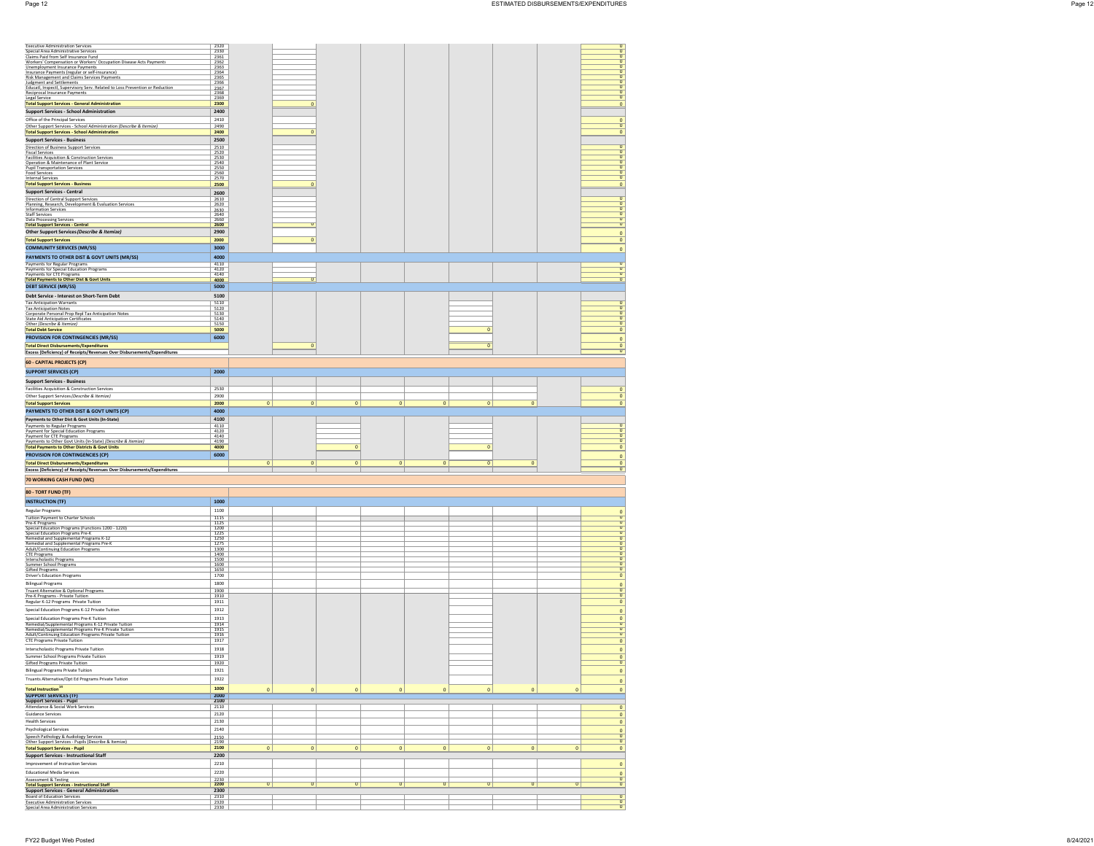| Executive Administration Services<br>Constant Area Administrative Services<br>Clasmic Part Form Self Insurance Eural<br>Workers' Compensation or Workers' Occupation Disease Acts Payments<br>Unemployment Insurance Payments<br>Universed Pa                              | 2320<br>2330                |              |                |              |             |              |              |              |             | $\frac{0}{0}$                            |  |
|----------------------------------------------------------------------------------------------------------------------------------------------------------------------------------------------------------------------------------------------------------------------------|-----------------------------|--------------|----------------|--------------|-------------|--------------|--------------|--------------|-------------|------------------------------------------|--|
|                                                                                                                                                                                                                                                                            | 2361<br>2362<br>2363        |              |                |              |             |              |              |              |             | O<br>$\sigma$                            |  |
|                                                                                                                                                                                                                                                                            | 2364                        |              |                |              |             |              |              |              |             | O<br>$\sigma$                            |  |
| Judgment and Settlements<br>Judgment and Settlements<br>Educatl, Inspectl, Supervisory Serv. Related to Loss Prevention or Reduction                                                                                                                                       | 2365<br>2366                |              |                |              |             |              |              |              |             | O<br>$\sigma$                            |  |
| Reciprocal Insurance Payments                                                                                                                                                                                                                                              | 2367<br>$\frac{2368}{2369}$ |              |                |              |             |              |              |              |             | $\mathbf{0}$<br>$\overline{0}$           |  |
| Legal Service<br><b>Total Support Services - General Administration</b>                                                                                                                                                                                                    | 2300                        |              | 0              |              |             |              |              |              |             | $\overline{\mathbf{0}}$<br>$\mathbf{0}$  |  |
| <b>Support Services - School Administration</b>                                                                                                                                                                                                                            | 2400                        |              |                |              |             |              |              |              |             |                                          |  |
| Office of the Principal Services                                                                                                                                                                                                                                           | 2410                        |              |                |              |             |              |              |              |             | $\pmb{0}$<br>$\sigma$                    |  |
| Other Support Services - School Administration (Describe & Itemize)<br><b>Total Support Services - School Administration</b>                                                                                                                                               | 2490<br>2400                |              |                |              |             |              |              |              |             | $\mathbf{0}$                             |  |
| <b>Support Services - Business</b>                                                                                                                                                                                                                                         | 2500                        |              |                |              |             |              |              |              |             |                                          |  |
| Direction of Business Support Services                                                                                                                                                                                                                                     | $\frac{2510}{2520}$         |              |                |              |             |              |              |              |             | $\overline{0}$<br>$\sigma$               |  |
| Fiscal Services<br>Fiscal Services<br>Facilities Acquisition & Construction Services                                                                                                                                                                                       | 2530<br>2540                |              |                |              |             |              |              |              |             | $\frac{0}{0}$                            |  |
| Formation & Maintenance of Plant Service<br>Pupil Transportation Services<br>Food Services<br>Internal Services                                                                                                                                                            | 2550<br>2560                |              |                |              |             |              |              |              |             | $\frac{0}{0}$                            |  |
|                                                                                                                                                                                                                                                                            | 2570                        |              |                |              |             |              |              |              |             | $\circ$                                  |  |
| <b>Total Support Services - Business</b><br><b>Support Services - Central</b>                                                                                                                                                                                              | 2500                        |              | 0              |              |             |              |              |              |             | $\mathbf{0}$                             |  |
| Direction of Central Support Services                                                                                                                                                                                                                                      | 2600<br>2610                |              |                |              |             |              |              |              |             | 0                                        |  |
| Planning, Research, Development & Evaluation Services<br>Information Services                                                                                                                                                                                              | 2620<br>2630                |              |                |              |             |              |              |              |             | $\sigma$<br>$\frac{0}{0}$                |  |
| <b>Staff Services</b><br>Data Processing Services<br><mark>Total Support Services - Central</mark>                                                                                                                                                                         | $\frac{2640}{2660}$         |              |                |              |             |              |              |              |             | $\frac{0}{0}$                            |  |
| Other Support Services (Describe & Itemize)                                                                                                                                                                                                                                | 2600<br>2900                |              | σ              |              |             |              |              |              |             |                                          |  |
| <b>Total Support Services</b>                                                                                                                                                                                                                                              | 2000                        |              | 0              |              |             |              |              |              |             | $\mathbf{0}$<br>$\mathbf{0}$             |  |
| <b>COMMUNITY SERVICES (MR/SS)</b>                                                                                                                                                                                                                                          | 3000                        |              |                |              |             |              |              |              |             | $\mathbf 0$                              |  |
| PAYMENTS TO OTHER DIST & GOVT UNITS (MR/SS)                                                                                                                                                                                                                                | 4000                        |              |                |              |             |              |              |              |             |                                          |  |
| Payments for Regular Programs                                                                                                                                                                                                                                              | 4110                        |              |                |              |             |              |              |              |             | $\overline{0}$<br>$\mathbf{0}$           |  |
| Payments for Special Education Programs<br>Payments for CTE Programs<br><b>Total Payments to Other Dist &amp; Govt Units</b>                                                                                                                                               | $\frac{4120}{4140}$<br>4000 |              | $\overline{0}$ |              |             |              |              |              |             | $\sigma$<br>$\mathbf{0}$                 |  |
| <b>DEBT SERVICE (MR/SS)</b>                                                                                                                                                                                                                                                | 5000                        |              |                |              |             |              |              |              |             |                                          |  |
| Debt Service - Interest on Short-Term Debt                                                                                                                                                                                                                                 | 5100                        |              |                |              |             |              |              |              |             |                                          |  |
| <b>Tax Anticipation Warrants</b>                                                                                                                                                                                                                                           | 5110                        |              |                |              |             |              |              |              |             | $\sigma$<br>$\sigma$                     |  |
| i ax Anticipation Warrantis<br>Tax Anticipation Notes<br>State Aid Anticipation Certificates<br>State Aid Anticipation Certificates<br>Othe <i>r (Describe &amp; Itemize)</i>                                                                                              | $\frac{5120}{5130}$<br>5140 |              |                |              |             |              |              |              |             | o<br>$\sigma$                            |  |
| <b>Total Debt Service</b>                                                                                                                                                                                                                                                  | 5150                        |              |                |              |             |              | $\mathbf 0$  |              |             | $\overline{\mathbf{0}}$                  |  |
| <b>PROVISION FOR CONTINGENCIES (MR/SS)</b>                                                                                                                                                                                                                                 | 5000<br>6000                |              |                |              |             |              |              |              |             | $\mathbf{0}$<br>$\mathbf{0}$             |  |
| <b>Total Direct Disbursements/Expenditures</b>                                                                                                                                                                                                                             |                             |              | $\pmb{0}$      |              |             |              | $\pmb{0}$    |              |             | $\frac{0}{0}$                            |  |
| Excess (Deficiency) of Receipts/Revenues Over Disbursements/Expenditures                                                                                                                                                                                                   |                             |              |                |              |             |              |              |              |             |                                          |  |
| 60 - CAPITAL PROJECTS (CP)                                                                                                                                                                                                                                                 |                             |              |                |              |             |              |              |              |             |                                          |  |
| <b>SUPPORT SERVICES (CP)</b>                                                                                                                                                                                                                                               | 2000                        |              |                |              |             |              |              |              |             |                                          |  |
| <b>Support Services - Business</b><br>Facilities Acquisition & Construction Services                                                                                                                                                                                       | 2530                        |              |                |              |             |              |              |              |             | $\mathbf 0$                              |  |
| Other Support Services (Describe & Itemize)                                                                                                                                                                                                                                | 2900                        |              |                |              |             |              |              |              |             | $\mathbf 0$                              |  |
| <b>Total Support Services</b>                                                                                                                                                                                                                                              | 2000                        | $\circ$      | $\circ$        | $\circ$      | $\circ$     | $\circ$      | $\circ$      | $\mathbf 0$  |             | $\mathbf{0}$                             |  |
| PAYMENTS TO OTHER DIST & GOVT UNITS (CP)<br>Payments to Other Dist & Govt Units (In-State)                                                                                                                                                                                 | 4000<br>4100                |              |                |              |             |              |              |              |             |                                          |  |
|                                                                                                                                                                                                                                                                            |                             |              |                |              |             |              |              |              |             |                                          |  |
| Payments to Regular Programs                                                                                                                                                                                                                                               | 4110                        |              |                |              |             |              |              |              |             | $\sigma$                                 |  |
|                                                                                                                                                                                                                                                                            | 4120<br>4140                |              |                |              |             |              |              |              |             | $\frac{0}{0}$                            |  |
|                                                                                                                                                                                                                                                                            | 4190                        |              |                | $\mathbf{0}$ |             |              |              |              |             | $\overline{\mathbf{0}}$                  |  |
| Payments to Regular Programs<br>Payment for Special Education Programs<br>Payment for CTE Programs<br>Payments to Other Govt Units (In-State) (Describe & Itemize)<br><b>Total Payments to Other Districts &amp; Govt Units</b><br><b>PROVISION FOR CONTINGENCIES (CP)</b> | 4000<br>6000                |              |                |              |             |              | $\mathbf 0$  |              |             | $\mathbf 0$<br>$\mathbf 0$               |  |
| <b>Total Direct Disbursements/Expenditures</b>                                                                                                                                                                                                                             |                             | $\mathbf{0}$ | $\mathbf{0}$   | $\mathbf{0}$ | $\mathbf 0$ | $\mathbf{0}$ | $\mathbf{0}$ | $\mathbf 0$  |             |                                          |  |
| Excess (Deficiency) of Receipts/Revenues Over Disbursements/Expenditures                                                                                                                                                                                                   |                             |              |                |              |             |              |              |              |             | $\frac{0}{0}$                            |  |
| 70 WORKING CASH FUND (WC)                                                                                                                                                                                                                                                  |                             |              |                |              |             |              |              |              |             |                                          |  |
| 80 - TORT FUND (TF)                                                                                                                                                                                                                                                        |                             |              |                |              |             |              |              |              |             |                                          |  |
| <b>INSTRUCTION (TF)</b>                                                                                                                                                                                                                                                    | 1000                        |              |                |              |             |              |              |              |             |                                          |  |
| Regular Programs                                                                                                                                                                                                                                                           | 1100                        |              |                |              |             |              |              |              |             | $\frac{0}{0}$                            |  |
|                                                                                                                                                                                                                                                                            | $\frac{1115}{1125}$<br>1200 |              |                |              |             |              |              |              |             | $\sigma$                                 |  |
|                                                                                                                                                                                                                                                                            | 1225<br>1250                |              |                |              |             |              |              |              |             | $\frac{0}{0}$                            |  |
|                                                                                                                                                                                                                                                                            | 1275                        |              |                |              |             |              |              |              |             | $\frac{0}{0}$                            |  |
|                                                                                                                                                                                                                                                                            | 1300<br>1400                |              |                |              |             |              |              |              |             | $\frac{0}{0}$                            |  |
| espura ruggians<br>Tutilon Payment to Charter Schools<br>Special Education Programs (Functions 1200 - 1220)<br>Special Education Programs (Functions 1200 - 1220)<br>Remedial and Supplemental Programs K-12<br>Remedial and Supplemental Pro                              | 1500<br>1600                |              |                |              |             |              |              |              |             | $\frac{0}{0}$                            |  |
| Summer School Programs<br>Gifted Programs<br>Driver's Education Programs                                                                                                                                                                                                   | 1650<br>1700                |              |                |              |             |              |              |              |             | $\mathbf{0}$                             |  |
| <b>Bilingual Programs</b>                                                                                                                                                                                                                                                  | 1800                        |              |                |              |             |              |              |              |             | $\mathbf 0$                              |  |
| Truant Alternative & Optional Programs<br>Pre-K Programs - Private Tuition                                                                                                                                                                                                 | 1900<br>1910                |              |                |              |             |              |              |              |             | $\frac{0}{0}$                            |  |
| Regular K-12 Programs Private Tuition<br>Special Education Programs K-12 Private Tuition                                                                                                                                                                                   | 1911<br>1912                |              |                |              |             |              |              |              |             | $\mathbf{0}$                             |  |
| Special Education Programs Pre-K Tuition                                                                                                                                                                                                                                   | 1913                        |              |                |              |             |              |              |              |             | $\mathbf 0$                              |  |
|                                                                                                                                                                                                                                                                            | 1914                        |              |                |              |             |              |              |              |             | $\begin{array}{c} 0 \\ 0 \end{array}$    |  |
| Remedial/Supplemental Programs K-12 Private Tuition<br>Remedial/Supplemental Programs Pre-K Private Tuition<br>Adult/Continuing Education Programs Private Tuition                                                                                                         | 1915<br>1916                |              |                |              |             |              |              |              |             | $\frac{0}{0}$                            |  |
| CTE Programs Private Tuition<br>Interscholastic Programs Private Tuition                                                                                                                                                                                                   | 1917<br>1918                |              |                |              |             |              |              |              |             | $\mathbf{0}$                             |  |
| Summer School Programs Private Tuition                                                                                                                                                                                                                                     | 1919                        |              |                |              |             |              |              |              |             | $\mathbf{0}$                             |  |
|                                                                                                                                                                                                                                                                            | 192U<br>1921                |              |                |              |             |              |              |              |             | $\frac{0}{0}$                            |  |
|                                                                                                                                                                                                                                                                            | 1922                        |              |                |              |             |              |              |              |             | $\mathbf 0$                              |  |
| Gifted Programs Privat<br>Bilingual Programs Private Tuition<br>Truants Alternative/Opt Ed Programs Private Tuition                                                                                                                                                        | 1000                        |              |                |              |             |              |              |              |             | $\mathbf 0$                              |  |
|                                                                                                                                                                                                                                                                            | 2000<br>2100                | $\bf{0}$     | $\pmb{0}$      | $\bf{0}$     | $\bf{0}$    | $\mathbf{0}$ | $\mathbf{0}$ | $\bf{0}$     | $\bf{0}$    | $\overline{\mathbf{0}}$                  |  |
| Total Instruction <sup>14</sup><br><b>SUPPORT SERVICES (TF)</b><br>Support Services - Pupil<br>Attendance & Social Work Services                                                                                                                                           | 2110                        |              |                |              |             |              |              |              |             | $\circ$                                  |  |
| Guidance Services                                                                                                                                                                                                                                                          | 2120                        |              |                |              |             |              |              |              |             | $\mathbf 0$                              |  |
| <b>Health Services</b><br>Psychological Services                                                                                                                                                                                                                           | 2130<br>2140                |              |                |              |             |              |              |              |             | $\mathbf 0$                              |  |
| Speech Pathology & Audiology Services                                                                                                                                                                                                                                      | 2150                        |              |                |              |             |              |              |              |             |                                          |  |
| Other Support Services - Pupils (Describe & Itemize)<br><b>Total Support Services - Pupil</b>                                                                                                                                                                              | 2190<br>2100                | $\bf{0}$     | $\mathbf{0}$   | $\mathbf{0}$ | $\bf{0}$    | $\bullet$    | $\mathbf{0}$ | $\mathbf{0}$ | $\bf{0}$    | $\frac{0}{0}$<br>$\mathbf{0}$            |  |
| <b>Support Services - Instructional Staff</b>                                                                                                                                                                                                                              | 2200                        |              |                |              |             |              |              |              |             |                                          |  |
| Improvement of Instruction Services                                                                                                                                                                                                                                        | 2210                        |              |                |              |             |              |              |              |             | $\mathbf{0}$                             |  |
| Educational Media Services<br>Assessment & Testing                                                                                                                                                                                                                         | 2220<br>2230                |              |                |              |             |              |              |              |             | $\circ$<br>O                             |  |
| <b>Total Support Services - Instructional Staff</b>                                                                                                                                                                                                                        | 2200                        | $\sigma$     | $\sigma$       | $\sigma$     | $\sigma$    | $\sigma$     | $\sigma$     | $\sigma$     | $\mathbf 0$ | $\sigma$                                 |  |
| <b>Support Services - General Administration</b><br>Board of Education Services<br><b>Executive Administration Services</b>                                                                                                                                                | 2300<br>$\frac{2310}{2320}$ |              |                |              |             |              |              |              |             | $\overline{\mathbf{0}}$<br>$\frac{0}{0}$ |  |